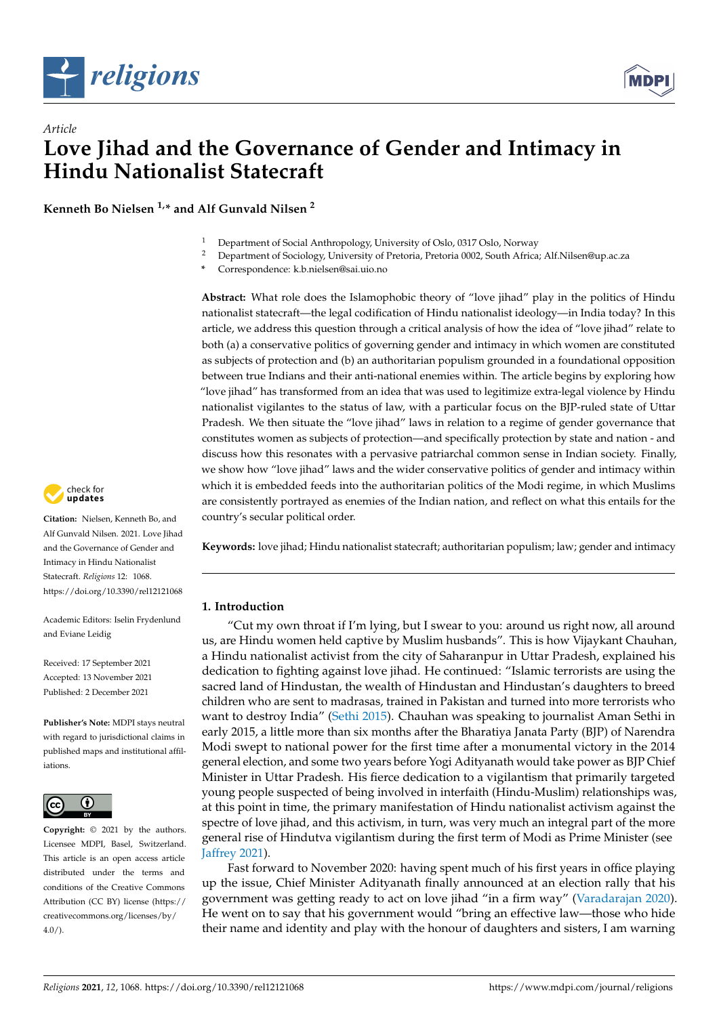



# *Article* **Love Jihad and the Governance of Gender and Intimacy in Hindu Nationalist Statecraft**

**Kenneth Bo Nielsen 1,\* and Alf Gunvald Nilsen <sup>2</sup>**

- <sup>1</sup> Department of Social Anthropology, University of Oslo, 0317 Oslo, Norway
- <sup>2</sup> Department of Sociology, University of Pretoria, Pretoria 0002, South Africa; Alf.Nilsen@up.ac.za
- **\*** Correspondence: k.b.nielsen@sai.uio.no

**Abstract:** What role does the Islamophobic theory of "love jihad" play in the politics of Hindu nationalist statecraft—the legal codification of Hindu nationalist ideology—in India today? In this article, we address this question through a critical analysis of how the idea of "love jihad" relate to both (a) a conservative politics of governing gender and intimacy in which women are constituted as subjects of protection and (b) an authoritarian populism grounded in a foundational opposition between true Indians and their anti-national enemies within. The article begins by exploring how "love jihad" has transformed from an idea that was used to legitimize extra-legal violence by Hindu nationalist vigilantes to the status of law, with a particular focus on the BJP-ruled state of Uttar Pradesh. We then situate the "love jihad" laws in relation to a regime of gender governance that constitutes women as subjects of protection—and specifically protection by state and nation - and discuss how this resonates with a pervasive patriarchal common sense in Indian society. Finally, we show how "love jihad" laws and the wider conservative politics of gender and intimacy within which it is embedded feeds into the authoritarian politics of the Modi regime, in which Muslims are consistently portrayed as enemies of the Indian nation, and reflect on what this entails for the country's secular political order.

**Keywords:** love jihad; Hindu nationalist statecraft; authoritarian populism; law; gender and intimacy

# **1. Introduction**

"Cut my own throat if I'm lying, but I swear to you: around us right now, all around us, are Hindu women held captive by Muslim husbands". This is how Vijaykant Chauhan, a Hindu nationalist activist from the city of Saharanpur in Uttar Pradesh, explained his dedication to fighting against love jihad. He continued: "Islamic terrorists are using the sacred land of Hindustan, the wealth of Hindustan and Hindustan's daughters to breed children who are sent to madrasas, trained in Pakistan and turned into more terrorists who want to destroy India" [\(Sethi](#page-16-0) [2015\)](#page-16-0). Chauhan was speaking to journalist Aman Sethi in early 2015, a little more than six months after the Bharatiya Janata Party (BJP) of Narendra Modi swept to national power for the first time after a monumental victory in the 2014 general election, and some two years before Yogi Adityanath would take power as BJP Chief Minister in Uttar Pradesh. His fierce dedication to a vigilantism that primarily targeted young people suspected of being involved in interfaith (Hindu-Muslim) relationships was, at this point in time, the primary manifestation of Hindu nationalist activism against the spectre of love jihad, and this activism, in turn, was very much an integral part of the more general rise of Hindutva vigilantism during the first term of Modi as Prime Minister (see [Jaffrey](#page-15-0) [2021\)](#page-15-0).

Fast forward to November 2020: having spent much of his first years in office playing up the issue, Chief Minister Adityanath finally announced at an election rally that his government was getting ready to act on love jihad "in a firm way" [\(Varadarajan](#page-16-1) [2020\)](#page-16-1). He went on to say that his government would "bring an effective law—those who hide their name and identity and play with the honour of daughters and sisters, I am warning



**Citation:** Nielsen, Kenneth Bo, and Alf Gunvald Nilsen. 2021. Love Jihad and the Governance of Gender and Intimacy in Hindu Nationalist Statecraft. *Religions* 12: 1068. <https://doi.org/10.3390/rel12121068>

Academic Editors: Iselin Frydenlund and Eviane Leidig

Received: 17 September 2021 Accepted: 13 November 2021 Published: 2 December 2021

**Publisher's Note:** MDPI stays neutral with regard to jurisdictional claims in published maps and institutional affiliations.



**Copyright:** © 2021 by the authors. Licensee MDPI, Basel, Switzerland. This article is an open access article distributed under the terms and conditions of the Creative Commons Attribution (CC BY) license (https:/[/](https://creativecommons.org/licenses/by/4.0/) [creativecommons.org/licenses/by/](https://creativecommons.org/licenses/by/4.0/)  $4.0/$ ).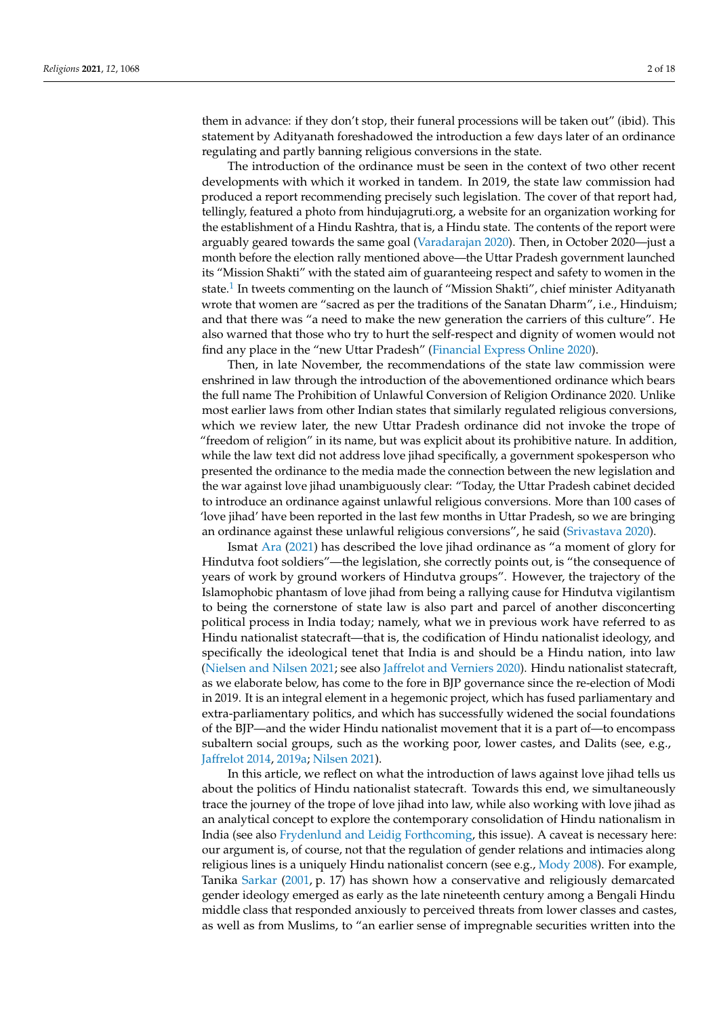them in advance: if they don't stop, their funeral processions will be taken out" (ibid). This statement by Adityanath foreshadowed the introduction a few days later of an ordinance regulating and partly banning religious conversions in the state.

The introduction of the ordinance must be seen in the context of two other recent developments with which it worked in tandem. In 2019, the state law commission had produced a report recommending precisely such legislation. The cover of that report had, tellingly, featured a photo from hindujagruti.org, a website for an organization working for the establishment of a Hindu Rashtra, that is, a Hindu state. The contents of the report were arguably geared towards the same goal [\(Varadarajan](#page-16-1) [2020\)](#page-16-1). Then, in October 2020—just a month before the election rally mentioned above—the Uttar Pradesh government launched its "Mission Shakti" with the stated aim of guaranteeing respect and safety to women in the state.<sup>[1](#page-13-0)</sup> In tweets commenting on the launch of "Mission Shakti", chief minister Adityanath wrote that women are "sacred as per the traditions of the Sanatan Dharm", i.e., Hinduism; and that there was "a need to make the new generation the carriers of this culture". He also warned that those who try to hurt the self-respect and dignity of women would not find any place in the "new Uttar Pradesh" [\(Financial Express Online](#page-15-1) [2020\)](#page-15-1).

<span id="page-1-0"></span>Then, in late November, the recommendations of the state law commission were enshrined in law through the introduction of the abovementioned ordinance which bears the full name The Prohibition of Unlawful Conversion of Religion Ordinance 2020. Unlike most earlier laws from other Indian states that similarly regulated religious conversions, which we review later, the new Uttar Pradesh ordinance did not invoke the trope of "freedom of religion" in its name, but was explicit about its prohibitive nature. In addition, while the law text did not address love jihad specifically, a government spokesperson who presented the ordinance to the media made the connection between the new legislation and the war against love jihad unambiguously clear: "Today, the Uttar Pradesh cabinet decided to introduce an ordinance against unlawful religious conversions. More than 100 cases of 'love jihad' have been reported in the last few months in Uttar Pradesh, so we are bringing an ordinance against these unlawful religious conversions", he said [\(Srivastava](#page-16-2) [2020\)](#page-16-2).

Ismat [Ara](#page-14-0) [\(2021\)](#page-14-0) has described the love jihad ordinance as "a moment of glory for Hindutva foot soldiers"—the legislation, she correctly points out, is "the consequence of years of work by ground workers of Hindutva groups". However, the trajectory of the Islamophobic phantasm of love jihad from being a rallying cause for Hindutva vigilantism to being the cornerstone of state law is also part and parcel of another disconcerting political process in India today; namely, what we in previous work have referred to as Hindu nationalist statecraft—that is, the codification of Hindu nationalist ideology, and specifically the ideological tenet that India is and should be a Hindu nation, into law [\(Nielsen and Nilsen](#page-16-3) [2021;](#page-16-3) see also [Jaffrelot and Verniers](#page-15-2) [2020\)](#page-15-2). Hindu nationalist statecraft, as we elaborate below, has come to the fore in BJP governance since the re-election of Modi in 2019. It is an integral element in a hegemonic project, which has fused parliamentary and extra-parliamentary politics, and which has successfully widened the social foundations of the BJP—and the wider Hindu nationalist movement that it is a part of—to encompass subaltern social groups, such as the working poor, lower castes, and Dalits (see, e.g., [Jaffrelot](#page-15-3) [2014,](#page-15-3) [2019a;](#page-15-4) [Nilsen](#page-16-4) [2021\)](#page-16-4).

In this article, we reflect on what the introduction of laws against love jihad tells us about the politics of Hindu nationalist statecraft. Towards this end, we simultaneously trace the journey of the trope of love jihad into law, while also working with love jihad as an analytical concept to explore the contemporary consolidation of Hindu nationalism in India (see also [Frydenlund and Leidig](#page-15-5) [Forthcoming,](#page-15-5) this issue). A caveat is necessary here: our argument is, of course, not that the regulation of gender relations and intimacies along religious lines is a uniquely Hindu nationalist concern (see e.g., [Mody](#page-16-5) [2008\)](#page-16-5). For example, Tanika [Sarkar](#page-16-6) [\(2001,](#page-16-6) p. 17) has shown how a conservative and religiously demarcated gender ideology emerged as early as the late nineteenth century among a Bengali Hindu middle class that responded anxiously to perceived threats from lower classes and castes, as well as from Muslims, to "an earlier sense of impregnable securities written into the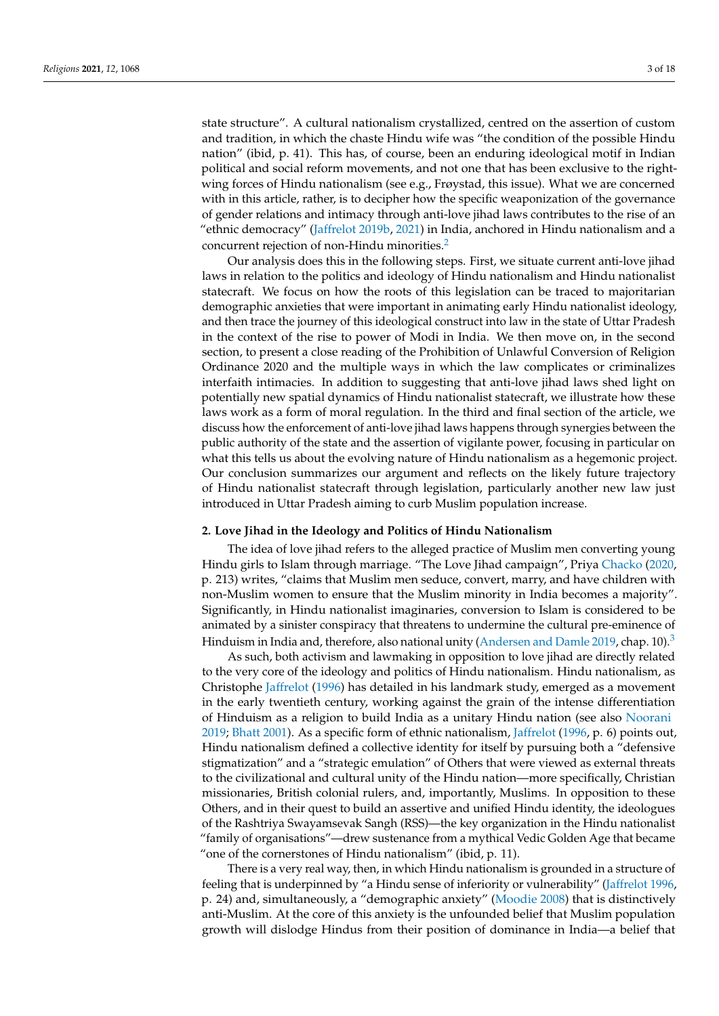state structure". A cultural nationalism crystallized, centred on the assertion of custom and tradition, in which the chaste Hindu wife was "the condition of the possible Hindu nation" (ibid, p. 41). This has, of course, been an enduring ideological motif in Indian political and social reform movements, and not one that has been exclusive to the rightwing forces of Hindu nationalism (see e.g., Frøystad, this issue). What we are concerned with in this article, rather, is to decipher how the specific weaponization of the governance of gender relations and intimacy through anti-love jihad laws contributes to the rise of an "ethnic democracy" [\(Jaffrelot](#page-15-6) [2019b,](#page-15-6) [2021\)](#page-15-7) in India, anchored in Hindu nationalism and a concurrent rejection of non-Hindu minorities.[2](#page-13-1)

<span id="page-2-1"></span>Our analysis does this in the following steps. First, we situate current anti-love jihad laws in relation to the politics and ideology of Hindu nationalism and Hindu nationalist statecraft. We focus on how the roots of this legislation can be traced to majoritarian demographic anxieties that were important in animating early Hindu nationalist ideology, and then trace the journey of this ideological construct into law in the state of Uttar Pradesh in the context of the rise to power of Modi in India. We then move on, in the second section, to present a close reading of the Prohibition of Unlawful Conversion of Religion Ordinance 2020 and the multiple ways in which the law complicates or criminalizes interfaith intimacies. In addition to suggesting that anti-love jihad laws shed light on potentially new spatial dynamics of Hindu nationalist statecraft, we illustrate how these laws work as a form of moral regulation. In the third and final section of the article, we discuss how the enforcement of anti-love jihad laws happens through synergies between the public authority of the state and the assertion of vigilante power, focusing in particular on what this tells us about the evolving nature of Hindu nationalism as a hegemonic project. Our conclusion summarizes our argument and reflects on the likely future trajectory of Hindu nationalist statecraft through legislation, particularly another new law just introduced in Uttar Pradesh aiming to curb Muslim population increase.

### <span id="page-2-0"></span>**2. Love Jihad in the Ideology and Politics of Hindu Nationalism**

The idea of love jihad refers to the alleged practice of Muslim men converting young Hindu girls to Islam through marriage. "The Love Jihad campaign", Priya [Chacko](#page-14-1) [\(2020,](#page-14-1) p. 213) writes, "claims that Muslim men seduce, convert, marry, and have children with non-Muslim women to ensure that the Muslim minority in India becomes a majority". Significantly, in Hindu nationalist imaginaries, conversion to Islam is considered to be animated by a sinister conspiracy that threatens to undermine the cultural pre-eminence of Hinduism in India and, therefore, also national unity [\(Andersen and Damle](#page-14-2) [2019,](#page-14-2) chap. 10).<sup>[3](#page-13-2)</sup>

<span id="page-2-2"></span>As such, both activism and lawmaking in opposition to love jihad are directly related to the very core of the ideology and politics of Hindu nationalism. Hindu nationalism, as Christophe [Jaffrelot](#page-15-8) [\(1996\)](#page-15-8) has detailed in his landmark study, emerged as a movement in the early twentieth century, working against the grain of the intense differentiation of Hinduism as a religion to build India as a unitary Hindu nation (see also [Noorani](#page-16-7) [2019;](#page-16-7) [Bhatt](#page-14-3) [2001\)](#page-14-3). As a specific form of ethnic nationalism, [Jaffrelot](#page-15-8) [\(1996,](#page-15-8) p. 6) points out, Hindu nationalism defined a collective identity for itself by pursuing both a "defensive stigmatization" and a "strategic emulation" of Others that were viewed as external threats to the civilizational and cultural unity of the Hindu nation—more specifically, Christian missionaries, British colonial rulers, and, importantly, Muslims. In opposition to these Others, and in their quest to build an assertive and unified Hindu identity, the ideologues of the Rashtriya Swayamsevak Sangh (RSS)—the key organization in the Hindu nationalist "family of organisations"—drew sustenance from a mythical Vedic Golden Age that became "one of the cornerstones of Hindu nationalism" (ibid, p. 11).

There is a very real way, then, in which Hindu nationalism is grounded in a structure of feeling that is underpinned by "a Hindu sense of inferiority or vulnerability" [\(Jaffrelot](#page-15-8) [1996,](#page-15-8) p. 24) and, simultaneously, a "demographic anxiety" [\(Moodie](#page-16-8) [2008\)](#page-16-8) that is distinctively anti-Muslim. At the core of this anxiety is the unfounded belief that Muslim population growth will dislodge Hindus from their position of dominance in India—a belief that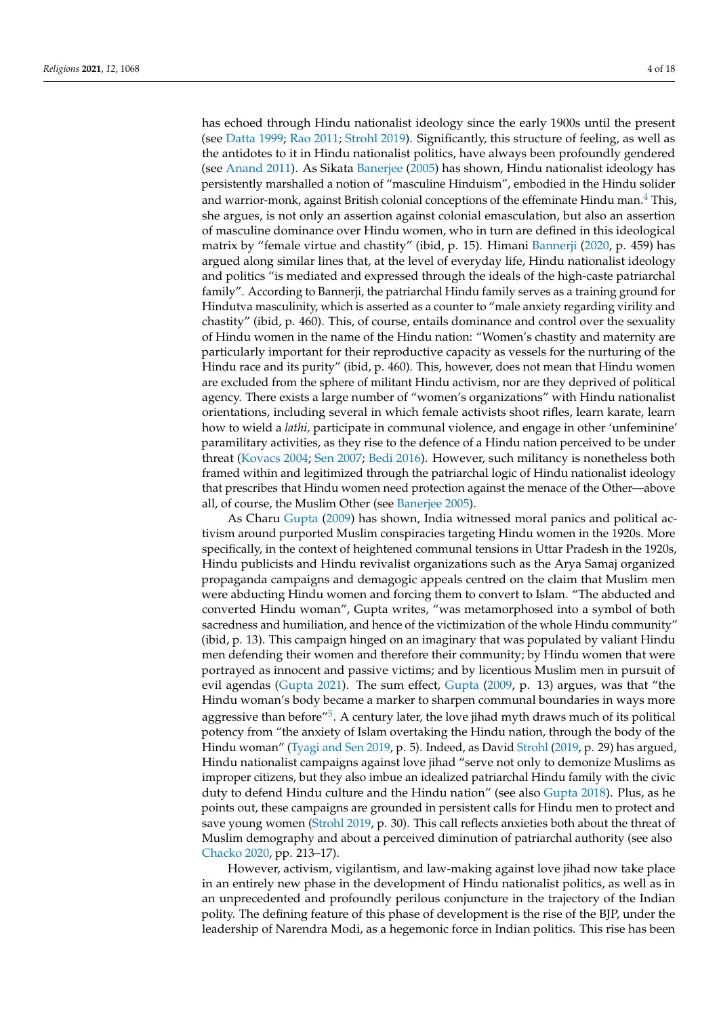<span id="page-3-0"></span>has echoed through Hindu nationalist ideology since the early 1900s until the present (see [Datta](#page-15-9) [1999;](#page-15-9) [Rao](#page-16-9) [2011;](#page-16-9) [Strohl](#page-16-10) [2019\)](#page-16-10). Significantly, this structure of feeling, as well as the antidotes to it in Hindu nationalist politics, have always been profoundly gendered (see [Anand](#page-14-4) [2011\)](#page-14-4). As Sikata [Banerjee](#page-14-5) [\(2005\)](#page-14-5) has shown, Hindu nationalist ideology has persistently marshalled a notion of "masculine Hinduism", embodied in the Hindu solider and warrior-monk, against British colonial conceptions of the effeminate Hindu man.<sup>[4](#page-13-3)</sup> This, she argues, is not only an assertion against colonial emasculation, but also an assertion of masculine dominance over Hindu women, who in turn are defined in this ideological matrix by "female virtue and chastity" (ibid, p. 15). Himani [Bannerji](#page-14-6) [\(2020,](#page-14-6) p. 459) has argued along similar lines that, at the level of everyday life, Hindu nationalist ideology and politics "is mediated and expressed through the ideals of the high-caste patriarchal family". According to Bannerji, the patriarchal Hindu family serves as a training ground for Hindutva masculinity, which is asserted as a counter to "male anxiety regarding virility and chastity" (ibid, p. 460). This, of course, entails dominance and control over the sexuality of Hindu women in the name of the Hindu nation: "Women's chastity and maternity are particularly important for their reproductive capacity as vessels for the nurturing of the Hindu race and its purity" (ibid, p. 460). This, however, does not mean that Hindu women are excluded from the sphere of militant Hindu activism, nor are they deprived of political agency. There exists a large number of "women's organizations" with Hindu nationalist orientations, including several in which female activists shoot rifles, learn karate, learn how to wield a *lathi,* participate in communal violence, and engage in other 'unfeminine' paramilitary activities, as they rise to the defence of a Hindu nation perceived to be under threat [\(Kovacs](#page-15-10) [2004;](#page-15-10) [Sen](#page-16-11) [2007;](#page-16-11) [Bedi](#page-14-7) [2016\)](#page-14-7). However, such militancy is nonetheless both framed within and legitimized through the patriarchal logic of Hindu nationalist ideology that prescribes that Hindu women need protection against the menace of the Other—above all, of course, the Muslim Other (see [Banerjee](#page-14-5) [2005\)](#page-14-5).

As Charu [Gupta](#page-15-11) [\(2009\)](#page-15-11) has shown, India witnessed moral panics and political activism around purported Muslim conspiracies targeting Hindu women in the 1920s. More specifically, in the context of heightened communal tensions in Uttar Pradesh in the 1920s, Hindu publicists and Hindu revivalist organizations such as the Arya Samaj organized propaganda campaigns and demagogic appeals centred on the claim that Muslim men were abducting Hindu women and forcing them to convert to Islam. "The abducted and converted Hindu woman", Gupta writes, "was metamorphosed into a symbol of both sacredness and humiliation, and hence of the victimization of the whole Hindu community" (ibid, p. 13). This campaign hinged on an imaginary that was populated by valiant Hindu men defending their women and therefore their community; by Hindu women that were portrayed as innocent and passive victims; and by licentious Muslim men in pursuit of evil agendas [\(Gupta](#page-15-12) [2021\)](#page-15-12). The sum effect, [Gupta](#page-15-11) [\(2009,](#page-15-11) p. 13) argues, was that "the Hindu woman's body became a marker to sharpen communal boundaries in ways more aggressive than before"<sup>[5](#page-13-4)</sup>. A century later, the love jihad myth draws much of its political potency from "the anxiety of Islam overtaking the Hindu nation, through the body of the Hindu woman" [\(Tyagi and Sen](#page-16-12) [2019,](#page-16-12) p. 5). Indeed, as David [Strohl](#page-16-10) [\(2019,](#page-16-10) p. 29) has argued, Hindu nationalist campaigns against love jihad "serve not only to demonize Muslims as improper citizens, but they also imbue an idealized patriarchal Hindu family with the civic duty to defend Hindu culture and the Hindu nation" (see also [Gupta](#page-15-13) [2018\)](#page-15-13). Plus, as he points out, these campaigns are grounded in persistent calls for Hindu men to protect and save young women [\(Strohl](#page-16-10) [2019,](#page-16-10) p. 30). This call reflects anxieties both about the threat of Muslim demography and about a perceived diminution of patriarchal authority (see also [Chacko](#page-14-1) [2020,](#page-14-1) pp. 213–17).

<span id="page-3-1"></span>However, activism, vigilantism, and law-making against love jihad now take place in an entirely new phase in the development of Hindu nationalist politics, as well as in an unprecedented and profoundly perilous conjuncture in the trajectory of the Indian polity. The defining feature of this phase of development is the rise of the BJP, under the leadership of Narendra Modi, as a hegemonic force in Indian politics. This rise has been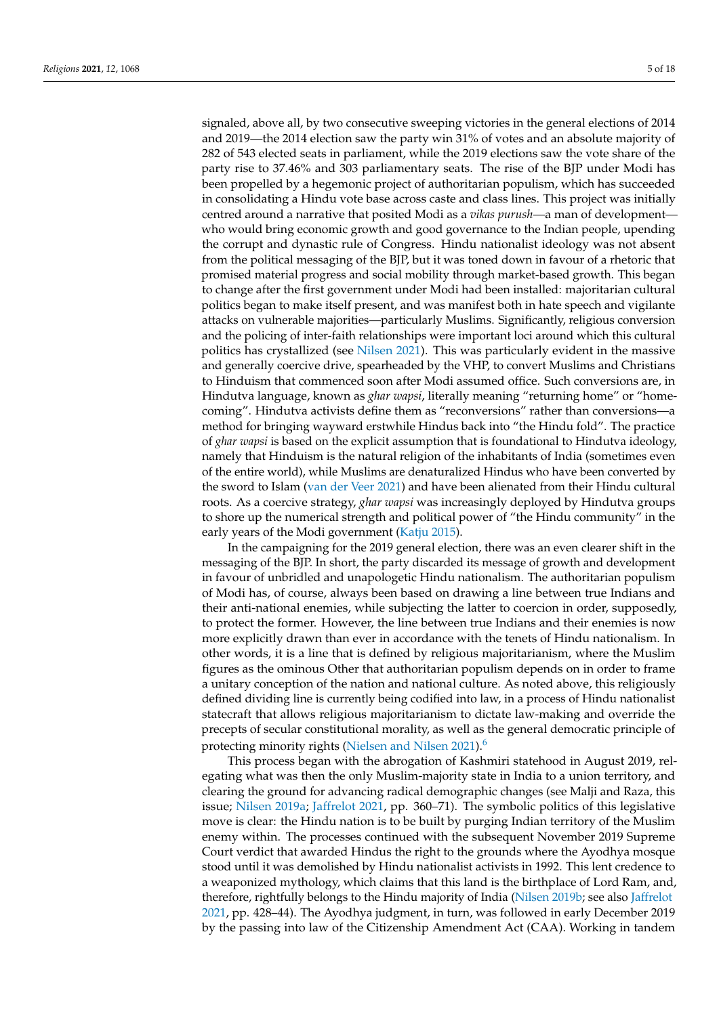signaled, above all, by two consecutive sweeping victories in the general elections of 2014 and 2019—the 2014 election saw the party win 31% of votes and an absolute majority of 282 of 543 elected seats in parliament, while the 2019 elections saw the vote share of the party rise to 37.46% and 303 parliamentary seats. The rise of the BJP under Modi has been propelled by a hegemonic project of authoritarian populism, which has succeeded in consolidating a Hindu vote base across caste and class lines. This project was initially centred around a narrative that posited Modi as a *vikas purush*—a man of development who would bring economic growth and good governance to the Indian people, upending the corrupt and dynastic rule of Congress. Hindu nationalist ideology was not absent from the political messaging of the BJP, but it was toned down in favour of a rhetoric that promised material progress and social mobility through market-based growth. This began to change after the first government under Modi had been installed: majoritarian cultural politics began to make itself present, and was manifest both in hate speech and vigilante attacks on vulnerable majorities—particularly Muslims. Significantly, religious conversion and the policing of inter-faith relationships were important loci around which this cultural politics has crystallized (see [Nilsen](#page-16-4) [2021\)](#page-16-4). This was particularly evident in the massive and generally coercive drive, spearheaded by the VHP, to convert Muslims and Christians to Hinduism that commenced soon after Modi assumed office. Such conversions are, in Hindutva language, known as *ghar wapsi*, literally meaning "returning home" or "homecoming". Hindutva activists define them as "reconversions" rather than conversions—a method for bringing wayward erstwhile Hindus back into "the Hindu fold". The practice of *ghar wapsi* is based on the explicit assumption that is foundational to Hindutva ideology, namely that Hinduism is the natural religion of the inhabitants of India (sometimes even of the entire world), while Muslims are denaturalized Hindus who have been converted by the sword to Islam [\(van der Veer](#page-16-13) [2021\)](#page-16-13) and have been alienated from their Hindu cultural roots. As a coercive strategy, *ghar wapsi* was increasingly deployed by Hindutva groups to shore up the numerical strength and political power of "the Hindu community" in the early years of the Modi government [\(Katju](#page-15-14) [2015\)](#page-15-14).

In the campaigning for the 2019 general election, there was an even clearer shift in the messaging of the BJP. In short, the party discarded its message of growth and development in favour of unbridled and unapologetic Hindu nationalism. The authoritarian populism of Modi has, of course, always been based on drawing a line between true Indians and their anti-national enemies, while subjecting the latter to coercion in order, supposedly, to protect the former. However, the line between true Indians and their enemies is now more explicitly drawn than ever in accordance with the tenets of Hindu nationalism. In other words, it is a line that is defined by religious majoritarianism, where the Muslim figures as the ominous Other that authoritarian populism depends on in order to frame a unitary conception of the nation and national culture. As noted above, this religiously defined dividing line is currently being codified into law, in a process of Hindu nationalist statecraft that allows religious majoritarianism to dictate law-making and override the precepts of secular constitutional morality, as well as the general democratic principle of protecting minority rights [\(Nielsen and Nilsen](#page-16-3) [2021\)](#page-16-3).<sup>[6](#page-13-5)</sup>

<span id="page-4-0"></span>This process began with the abrogation of Kashmiri statehood in August 2019, relegating what was then the only Muslim-majority state in India to a union territory, and clearing the ground for advancing radical demographic changes (see Malji and Raza, this issue; [Nilsen](#page-16-14) [2019a;](#page-16-14) [Jaffrelot](#page-15-7) [2021,](#page-15-7) pp. 360–71). The symbolic politics of this legislative move is clear: the Hindu nation is to be built by purging Indian territory of the Muslim enemy within. The processes continued with the subsequent November 2019 Supreme Court verdict that awarded Hindus the right to the grounds where the Ayodhya mosque stood until it was demolished by Hindu nationalist activists in 1992. This lent credence to a weaponized mythology, which claims that this land is the birthplace of Lord Ram, and, therefore, rightfully belongs to the Hindu majority of India [\(Nilsen](#page-16-15) [2019b;](#page-16-15) see also [Jaffrelot](#page-15-7) [2021,](#page-15-7) pp. 428–44). The Ayodhya judgment, in turn, was followed in early December 2019 by the passing into law of the Citizenship Amendment Act (CAA). Working in tandem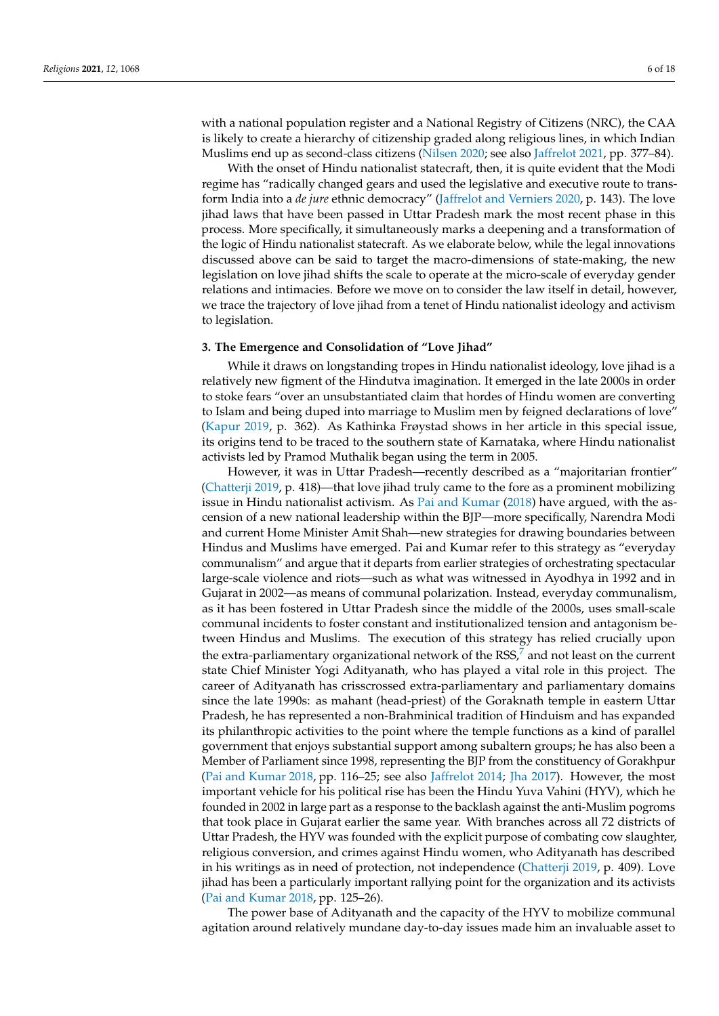with a national population register and a National Registry of Citizens (NRC), the CAA is likely to create a hierarchy of citizenship graded along religious lines, in which Indian Muslims end up as second-class citizens [\(Nilsen](#page-16-16) [2020;](#page-16-16) see also [Jaffrelot](#page-15-7) [2021,](#page-15-7) pp. 377–84).

With the onset of Hindu nationalist statecraft, then, it is quite evident that the Modi regime has "radically changed gears and used the legislative and executive route to transform India into a *de jure* ethnic democracy" [\(Jaffrelot and Verniers](#page-15-2) [2020,](#page-15-2) p. 143). The love jihad laws that have been passed in Uttar Pradesh mark the most recent phase in this process. More specifically, it simultaneously marks a deepening and a transformation of the logic of Hindu nationalist statecraft. As we elaborate below, while the legal innovations discussed above can be said to target the macro-dimensions of state-making, the new legislation on love jihad shifts the scale to operate at the micro-scale of everyday gender relations and intimacies. Before we move on to consider the law itself in detail, however, we trace the trajectory of love jihad from a tenet of Hindu nationalist ideology and activism to legislation.

## **3. The Emergence and Consolidation of "Love Jihad"**

While it draws on longstanding tropes in Hindu nationalist ideology, love jihad is a relatively new figment of the Hindutva imagination. It emerged in the late 2000s in order to stoke fears "over an unsubstantiated claim that hordes of Hindu women are converting to Islam and being duped into marriage to Muslim men by feigned declarations of love" [\(Kapur](#page-15-15) [2019,](#page-15-15) p. 362). As Kathinka Frøystad shows in her article in this special issue, its origins tend to be traced to the southern state of Karnataka, where Hindu nationalist activists led by Pramod Muthalik began using the term in 2005.

<span id="page-5-0"></span>However, it was in Uttar Pradesh—recently described as a "majoritarian frontier" [\(Chatterji](#page-14-8) [2019,](#page-14-8) p. 418)—that love jihad truly came to the fore as a prominent mobilizing issue in Hindu nationalist activism. As [Pai and Kumar](#page-16-17) [\(2018\)](#page-16-17) have argued, with the ascension of a new national leadership within the BJP—more specifically, Narendra Modi and current Home Minister Amit Shah—new strategies for drawing boundaries between Hindus and Muslims have emerged. Pai and Kumar refer to this strategy as "everyday communalism" and argue that it departs from earlier strategies of orchestrating spectacular large-scale violence and riots—such as what was witnessed in Ayodhya in 1992 and in Gujarat in 2002—as means of communal polarization. Instead, everyday communalism, as it has been fostered in Uttar Pradesh since the middle of the 2000s, uses small-scale communal incidents to foster constant and institutionalized tension and antagonism between Hindus and Muslims. The execution of this strategy has relied crucially upon the extra-parliamentary organizational network of the RSS, $^7$  $^7$  and not least on the current state Chief Minister Yogi Adityanath, who has played a vital role in this project. The career of Adityanath has crisscrossed extra-parliamentary and parliamentary domains since the late 1990s: as mahant (head-priest) of the Goraknath temple in eastern Uttar Pradesh, he has represented a non-Brahminical tradition of Hinduism and has expanded its philanthropic activities to the point where the temple functions as a kind of parallel government that enjoys substantial support among subaltern groups; he has also been a Member of Parliament since 1998, representing the BJP from the constituency of Gorakhpur [\(Pai and Kumar](#page-16-17) [2018,](#page-16-17) pp. 116–25; see also [Jaffrelot](#page-15-3) [2014;](#page-15-3) [Jha](#page-15-16) [2017\)](#page-15-16). However, the most important vehicle for his political rise has been the Hindu Yuva Vahini (HYV), which he founded in 2002 in large part as a response to the backlash against the anti-Muslim pogroms that took place in Gujarat earlier the same year. With branches across all 72 districts of Uttar Pradesh, the HYV was founded with the explicit purpose of combating cow slaughter, religious conversion, and crimes against Hindu women, who Adityanath has described in his writings as in need of protection, not independence [\(Chatterji](#page-14-8) [2019,](#page-14-8) p. 409). Love jihad has been a particularly important rallying point for the organization and its activists [\(Pai and Kumar](#page-16-17) [2018,](#page-16-17) pp. 125–26).

The power base of Adityanath and the capacity of the HYV to mobilize communal agitation around relatively mundane day-to-day issues made him an invaluable asset to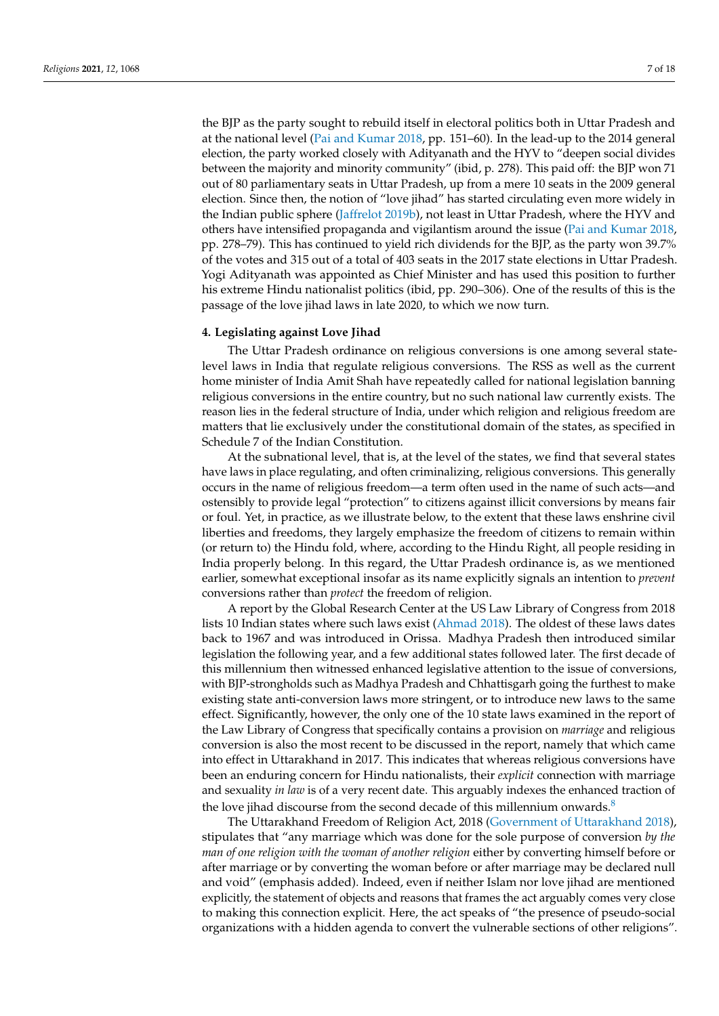the BJP as the party sought to rebuild itself in electoral politics both in Uttar Pradesh and at the national level [\(Pai and Kumar](#page-16-17) [2018,](#page-16-17) pp. 151–60). In the lead-up to the 2014 general election, the party worked closely with Adityanath and the HYV to "deepen social divides between the majority and minority community" (ibid, p. 278). This paid off: the BJP won 71 out of 80 parliamentary seats in Uttar Pradesh, up from a mere 10 seats in the 2009 general election. Since then, the notion of "love jihad" has started circulating even more widely in the Indian public sphere [\(Jaffrelot](#page-15-6) [2019b\)](#page-15-6), not least in Uttar Pradesh, where the HYV and others have intensified propaganda and vigilantism around the issue [\(Pai and Kumar](#page-16-17) [2018,](#page-16-17) pp. 278–79). This has continued to yield rich dividends for the BJP, as the party won 39.7% of the votes and 315 out of a total of 403 seats in the 2017 state elections in Uttar Pradesh. Yogi Adityanath was appointed as Chief Minister and has used this position to further his extreme Hindu nationalist politics (ibid, pp. 290–306). One of the results of this is the passage of the love jihad laws in late 2020, to which we now turn.

### <span id="page-6-0"></span>**4. Legislating against Love Jihad**

The Uttar Pradesh ordinance on religious conversions is one among several statelevel laws in India that regulate religious conversions. The RSS as well as the current home minister of India Amit Shah have repeatedly called for national legislation banning religious conversions in the entire country, but no such national law currently exists. The reason lies in the federal structure of India, under which religion and religious freedom are matters that lie exclusively under the constitutional domain of the states, as specified in Schedule 7 of the Indian Constitution.

At the subnational level, that is, at the level of the states, we find that several states have laws in place regulating, and often criminalizing, religious conversions. This generally occurs in the name of religious freedom—a term often used in the name of such acts—and ostensibly to provide legal "protection" to citizens against illicit conversions by means fair or foul. Yet, in practice, as we illustrate below, to the extent that these laws enshrine civil liberties and freedoms, they largely emphasize the freedom of citizens to remain within (or return to) the Hindu fold, where, according to the Hindu Right, all people residing in India properly belong. In this regard, the Uttar Pradesh ordinance is, as we mentioned earlier, somewhat exceptional insofar as its name explicitly signals an intention to *prevent* conversions rather than *protect* the freedom of religion.

A report by the Global Research Center at the US Law Library of Congress from 2018 lists 10 Indian states where such laws exist [\(Ahmad](#page-14-10) [2018\)](#page-14-10). The oldest of these laws dates back to 1967 and was introduced in Orissa. Madhya Pradesh then introduced similar legislation the following year, and a few additional states followed later. The first decade of this millennium then witnessed enhanced legislative attention to the issue of conversions, with BJP-strongholds such as Madhya Pradesh and Chhattisgarh going the furthest to make existing state anti-conversion laws more stringent, or to introduce new laws to the same effect. Significantly, however, the only one of the 10 state laws examined in the report of the Law Library of Congress that specifically contains a provision on *marriage* and religious conversion is also the most recent to be discussed in the report, namely that which came into effect in Uttarakhand in 2017. This indicates that whereas religious conversions have been an enduring concern for Hindu nationalists, their *explicit* connection with marriage and sexuality *in law* is of a very recent date. This arguably indexes the enhanced traction of the love jihad discourse from the second decade of this millennium onwards. $8$ 

<span id="page-6-1"></span>The Uttarakhand Freedom of Religion Act, 2018 [\(Government of Uttarakhand](#page-15-17) [2018\)](#page-15-17), stipulates that "any marriage which was done for the sole purpose of conversion *by the man of one religion with the woman of another religion* either by converting himself before or after marriage or by converting the woman before or after marriage may be declared null and void" (emphasis added). Indeed, even if neither Islam nor love jihad are mentioned explicitly, the statement of objects and reasons that frames the act arguably comes very close to making this connection explicit. Here, the act speaks of "the presence of pseudo-social organizations with a hidden agenda to convert the vulnerable sections of other religions".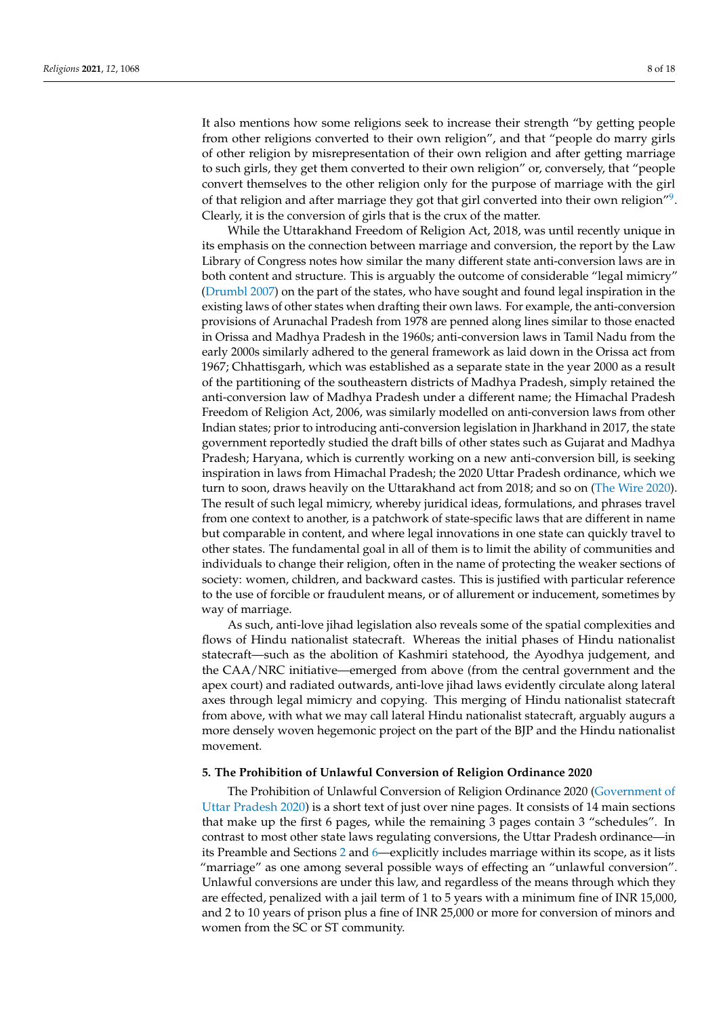It also mentions how some religions seek to increase their strength "by getting people from other religions converted to their own religion", and that "people do marry girls of other religion by misrepresentation of their own religion and after getting marriage to such girls, they get them converted to their own religion" or, conversely, that "people convert themselves to the other religion only for the purpose of marriage with the girl of that religion and after marriage they got that girl converted into their own religion"<sup>[9](#page-14-12)</sup>. Clearly, it is the conversion of girls that is the crux of the matter.

<span id="page-7-0"></span>While the Uttarakhand Freedom of Religion Act, 2018, was until recently unique in its emphasis on the connection between marriage and conversion, the report by the Law Library of Congress notes how similar the many different state anti-conversion laws are in both content and structure. This is arguably the outcome of considerable "legal mimicry" [\(Drumbl](#page-15-18) [2007\)](#page-15-18) on the part of the states, who have sought and found legal inspiration in the existing laws of other states when drafting their own laws. For example, the anti-conversion provisions of Arunachal Pradesh from 1978 are penned along lines similar to those enacted in Orissa and Madhya Pradesh in the 1960s; anti-conversion laws in Tamil Nadu from the early 2000s similarly adhered to the general framework as laid down in the Orissa act from 1967; Chhattisgarh, which was established as a separate state in the year 2000 as a result of the partitioning of the southeastern districts of Madhya Pradesh, simply retained the anti-conversion law of Madhya Pradesh under a different name; the Himachal Pradesh Freedom of Religion Act, 2006, was similarly modelled on anti-conversion laws from other Indian states; prior to introducing anti-conversion legislation in Jharkhand in 2017, the state government reportedly studied the draft bills of other states such as Gujarat and Madhya Pradesh; Haryana, which is currently working on a new anti-conversion bill, is seeking inspiration in laws from Himachal Pradesh; the 2020 Uttar Pradesh ordinance, which we turn to soon, draws heavily on the Uttarakhand act from 2018; and so on [\(The Wire](#page-16-18) [2020\)](#page-16-18). The result of such legal mimicry, whereby juridical ideas, formulations, and phrases travel from one context to another, is a patchwork of state-specific laws that are different in name but comparable in content, and where legal innovations in one state can quickly travel to other states. The fundamental goal in all of them is to limit the ability of communities and individuals to change their religion, often in the name of protecting the weaker sections of society: women, children, and backward castes. This is justified with particular reference to the use of forcible or fraudulent means, or of allurement or inducement, sometimes by way of marriage.

As such, anti-love jihad legislation also reveals some of the spatial complexities and flows of Hindu nationalist statecraft. Whereas the initial phases of Hindu nationalist statecraft—such as the abolition of Kashmiri statehood, the Ayodhya judgement, and the CAA/NRC initiative—emerged from above (from the central government and the apex court) and radiated outwards, anti-love jihad laws evidently circulate along lateral axes through legal mimicry and copying. This merging of Hindu nationalist statecraft from above, with what we may call lateral Hindu nationalist statecraft, arguably augurs a more densely woven hegemonic project on the part of the BJP and the Hindu nationalist movement.

## **5. The Prohibition of Unlawful Conversion of Religion Ordinance 2020**

The Prohibition of Unlawful Conversion of Religion Ordinance 2020 [\(Government of](#page-15-19) [Uttar Pradesh](#page-15-19) [2020\)](#page-15-19) is a short text of just over nine pages. It consists of 14 main sections that make up the first 6 pages, while the remaining 3 pages contain 3 "schedules". In contrast to most other state laws regulating conversions, the Uttar Pradesh ordinance—in its Preamble and Sections [2](#page-2-0) and [6—](#page-10-0)explicitly includes marriage within its scope, as it lists "marriage" as one among several possible ways of effecting an "unlawful conversion". Unlawful conversions are under this law, and regardless of the means through which they are effected, penalized with a jail term of 1 to 5 years with a minimum fine of INR 15,000, and 2 to 10 years of prison plus a fine of INR 25,000 or more for conversion of minors and women from the SC or ST community.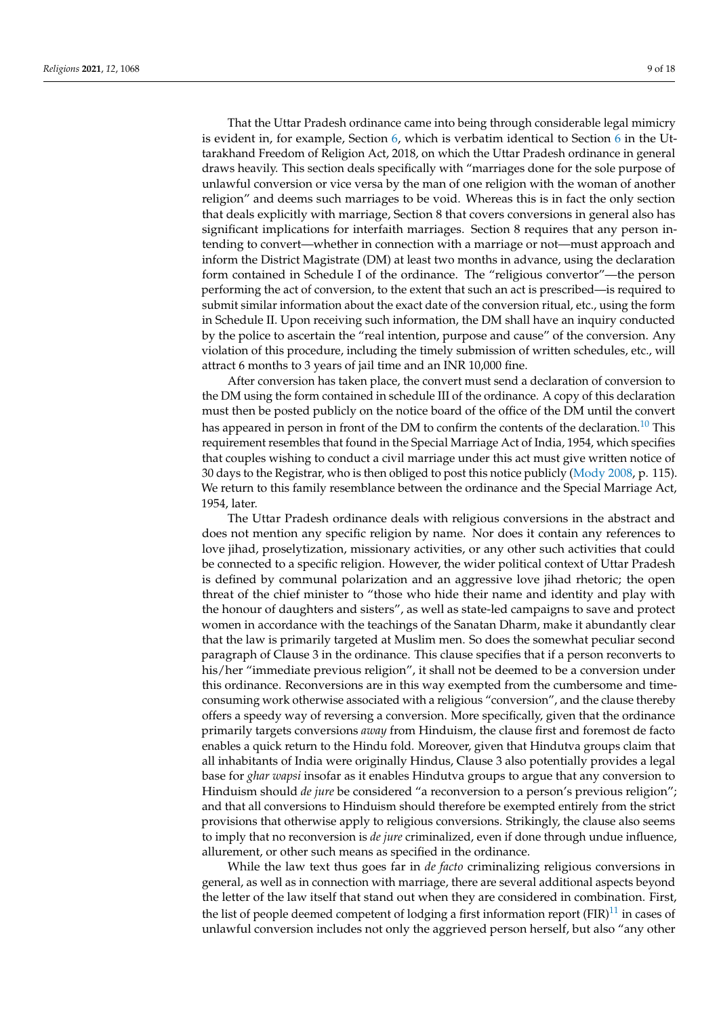That the Uttar Pradesh ordinance came into being through considerable legal mimicry is evident in, for example, Section [6,](#page-10-0) which is verbatim identical to Section [6](#page-10-0) in the Uttarakhand Freedom of Religion Act, 2018, on which the Uttar Pradesh ordinance in general draws heavily. This section deals specifically with "marriages done for the sole purpose of unlawful conversion or vice versa by the man of one religion with the woman of another religion" and deems such marriages to be void. Whereas this is in fact the only section that deals explicitly with marriage, Section 8 that covers conversions in general also has significant implications for interfaith marriages. Section 8 requires that any person intending to convert—whether in connection with a marriage or not—must approach and inform the District Magistrate (DM) at least two months in advance, using the declaration form contained in Schedule I of the ordinance. The "religious convertor"—the person performing the act of conversion, to the extent that such an act is prescribed—is required to submit similar information about the exact date of the conversion ritual, etc., using the form in Schedule II. Upon receiving such information, the DM shall have an inquiry conducted by the police to ascertain the "real intention, purpose and cause" of the conversion. Any violation of this procedure, including the timely submission of written schedules, etc., will attract 6 months to 3 years of jail time and an INR 10,000 fine.

<span id="page-8-0"></span>After conversion has taken place, the convert must send a declaration of conversion to the DM using the form contained in schedule III of the ordinance. A copy of this declaration must then be posted publicly on the notice board of the office of the DM until the convert has appeared in person in front of the DM to confirm the contents of the declaration.<sup>[10](#page-14-13)</sup> This requirement resembles that found in the Special Marriage Act of India, 1954, which specifies that couples wishing to conduct a civil marriage under this act must give written notice of 30 days to the Registrar, who is then obliged to post this notice publicly [\(Mody](#page-16-5) [2008,](#page-16-5) p. 115). We return to this family resemblance between the ordinance and the Special Marriage Act, 1954, later.

The Uttar Pradesh ordinance deals with religious conversions in the abstract and does not mention any specific religion by name. Nor does it contain any references to love jihad, proselytization, missionary activities, or any other such activities that could be connected to a specific religion. However, the wider political context of Uttar Pradesh is defined by communal polarization and an aggressive love jihad rhetoric; the open threat of the chief minister to "those who hide their name and identity and play with the honour of daughters and sisters", as well as state-led campaigns to save and protect women in accordance with the teachings of the Sanatan Dharm, make it abundantly clear that the law is primarily targeted at Muslim men. So does the somewhat peculiar second paragraph of Clause 3 in the ordinance. This clause specifies that if a person reconverts to his/her "immediate previous religion", it shall not be deemed to be a conversion under this ordinance. Reconversions are in this way exempted from the cumbersome and timeconsuming work otherwise associated with a religious "conversion", and the clause thereby offers a speedy way of reversing a conversion. More specifically, given that the ordinance primarily targets conversions *away* from Hinduism, the clause first and foremost de facto enables a quick return to the Hindu fold. Moreover, given that Hindutva groups claim that all inhabitants of India were originally Hindus, Clause 3 also potentially provides a legal base for *ghar wapsi* insofar as it enables Hindutva groups to argue that any conversion to Hinduism should *de jure* be considered "a reconversion to a person's previous religion"; and that all conversions to Hinduism should therefore be exempted entirely from the strict provisions that otherwise apply to religious conversions. Strikingly, the clause also seems to imply that no reconversion is *de jure* criminalized, even if done through undue influence, allurement, or other such means as specified in the ordinance.

<span id="page-8-1"></span>While the law text thus goes far in *de facto* criminalizing religious conversions in general, as well as in connection with marriage, there are several additional aspects beyond the letter of the law itself that stand out when they are considered in combination. First, the list of people deemed competent of lodging a first information report  $(FIR)^{11}$  $(FIR)^{11}$  $(FIR)^{11}$  in cases of unlawful conversion includes not only the aggrieved person herself, but also "any other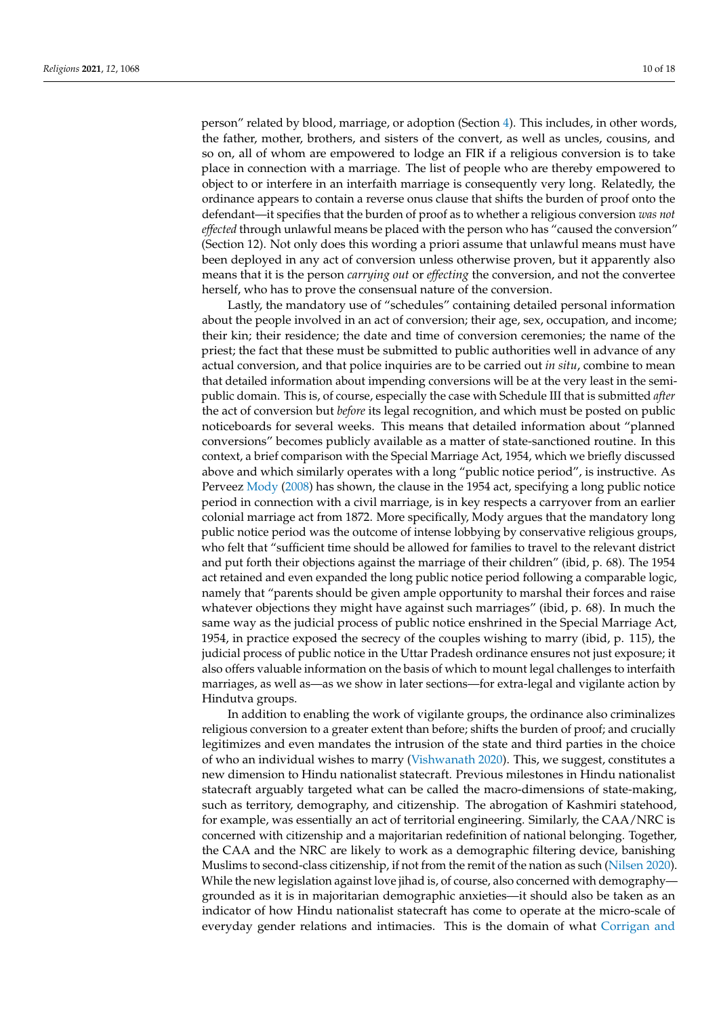person" related by blood, marriage, or adoption (Section [4\)](#page-6-0). This includes, in other words, the father, mother, brothers, and sisters of the convert, as well as uncles, cousins, and so on, all of whom are empowered to lodge an FIR if a religious conversion is to take place in connection with a marriage. The list of people who are thereby empowered to object to or interfere in an interfaith marriage is consequently very long. Relatedly, the ordinance appears to contain a reverse onus clause that shifts the burden of proof onto the defendant—it specifies that the burden of proof as to whether a religious conversion *was not effected* through unlawful means be placed with the person who has "caused the conversion" (Section 12). Not only does this wording a priori assume that unlawful means must have been deployed in any act of conversion unless otherwise proven, but it apparently also means that it is the person *carrying out* or *effecting* the conversion, and not the convertee herself, who has to prove the consensual nature of the conversion.

Lastly, the mandatory use of "schedules" containing detailed personal information about the people involved in an act of conversion; their age, sex, occupation, and income; their kin; their residence; the date and time of conversion ceremonies; the name of the priest; the fact that these must be submitted to public authorities well in advance of any actual conversion, and that police inquiries are to be carried out *in situ*, combine to mean that detailed information about impending conversions will be at the very least in the semipublic domain. This is, of course, especially the case with Schedule III that is submitted *after* the act of conversion but *before* its legal recognition, and which must be posted on public noticeboards for several weeks. This means that detailed information about "planned conversions" becomes publicly available as a matter of state-sanctioned routine. In this context, a brief comparison with the Special Marriage Act, 1954, which we briefly discussed above and which similarly operates with a long "public notice period", is instructive. As Perveez [Mody](#page-16-5) [\(2008\)](#page-16-5) has shown, the clause in the 1954 act, specifying a long public notice period in connection with a civil marriage, is in key respects a carryover from an earlier colonial marriage act from 1872. More specifically, Mody argues that the mandatory long public notice period was the outcome of intense lobbying by conservative religious groups, who felt that "sufficient time should be allowed for families to travel to the relevant district and put forth their objections against the marriage of their children" (ibid, p. 68). The 1954 act retained and even expanded the long public notice period following a comparable logic, namely that "parents should be given ample opportunity to marshal their forces and raise whatever objections they might have against such marriages" (ibid, p. 68). In much the same way as the judicial process of public notice enshrined in the Special Marriage Act, 1954, in practice exposed the secrecy of the couples wishing to marry (ibid, p. 115), the judicial process of public notice in the Uttar Pradesh ordinance ensures not just exposure; it also offers valuable information on the basis of which to mount legal challenges to interfaith marriages, as well as—as we show in later sections—for extra-legal and vigilante action by Hindutva groups.

In addition to enabling the work of vigilante groups, the ordinance also criminalizes religious conversion to a greater extent than before; shifts the burden of proof; and crucially legitimizes and even mandates the intrusion of the state and third parties in the choice of who an individual wishes to marry [\(Vishwanath](#page-17-0) [2020\)](#page-17-0). This, we suggest, constitutes a new dimension to Hindu nationalist statecraft. Previous milestones in Hindu nationalist statecraft arguably targeted what can be called the macro-dimensions of state-making, such as territory, demography, and citizenship. The abrogation of Kashmiri statehood, for example, was essentially an act of territorial engineering. Similarly, the CAA/NRC is concerned with citizenship and a majoritarian redefinition of national belonging. Together, the CAA and the NRC are likely to work as a demographic filtering device, banishing Muslims to second-class citizenship, if not from the remit of the nation as such [\(Nilsen](#page-16-16) [2020\)](#page-16-16). While the new legislation against love jihad is, of course, also concerned with demography grounded as it is in majoritarian demographic anxieties—it should also be taken as an indicator of how Hindu nationalist statecraft has come to operate at the micro-scale of everyday gender relations and intimacies. This is the domain of what [Corrigan and](#page-14-15)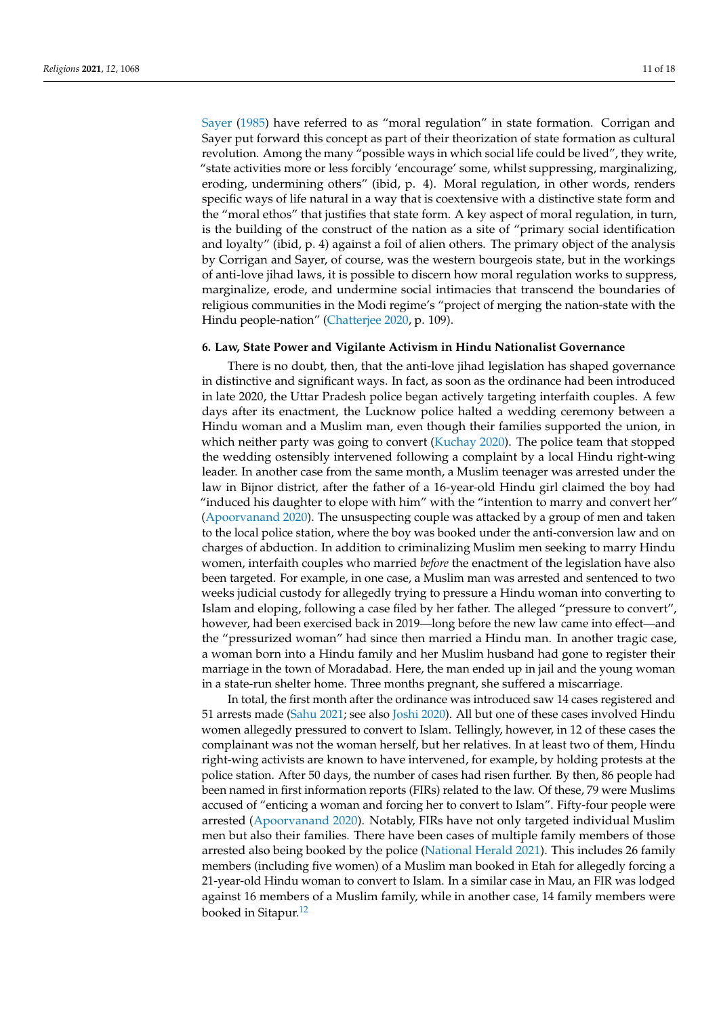[Sayer](#page-14-15) [\(1985\)](#page-14-15) have referred to as "moral regulation" in state formation. Corrigan and Sayer put forward this concept as part of their theorization of state formation as cultural revolution. Among the many "possible ways in which social life could be lived", they write, "state activities more or less forcibly 'encourage' some, whilst suppressing, marginalizing, eroding, undermining others" (ibid, p. 4). Moral regulation, in other words, renders specific ways of life natural in a way that is coextensive with a distinctive state form and the "moral ethos" that justifies that state form. A key aspect of moral regulation, in turn, is the building of the construct of the nation as a site of "primary social identification and loyalty" (ibid, p. 4) against a foil of alien others. The primary object of the analysis by Corrigan and Sayer, of course, was the western bourgeois state, but in the workings of anti-love jihad laws, it is possible to discern how moral regulation works to suppress, marginalize, erode, and undermine social intimacies that transcend the boundaries of religious communities in the Modi regime's "project of merging the nation-state with the Hindu people-nation" [\(Chatterjee](#page-14-16) [2020,](#page-14-16) p. 109).

## <span id="page-10-0"></span>**6. Law, State Power and Vigilante Activism in Hindu Nationalist Governance**

There is no doubt, then, that the anti-love jihad legislation has shaped governance in distinctive and significant ways. In fact, as soon as the ordinance had been introduced in late 2020, the Uttar Pradesh police began actively targeting interfaith couples. A few days after its enactment, the Lucknow police halted a wedding ceremony between a Hindu woman and a Muslim man, even though their families supported the union, in which neither party was going to convert [\(Kuchay](#page-16-19) [2020\)](#page-16-19). The police team that stopped the wedding ostensibly intervened following a complaint by a local Hindu right-wing leader. In another case from the same month, a Muslim teenager was arrested under the law in Bijnor district, after the father of a 16-year-old Hindu girl claimed the boy had "induced his daughter to elope with him" with the "intention to marry and convert her" [\(Apoorvanand](#page-14-17) [2020\)](#page-14-17). The unsuspecting couple was attacked by a group of men and taken to the local police station, where the boy was booked under the anti-conversion law and on charges of abduction. In addition to criminalizing Muslim men seeking to marry Hindu women, interfaith couples who married *before* the enactment of the legislation have also been targeted. For example, in one case, a Muslim man was arrested and sentenced to two weeks judicial custody for allegedly trying to pressure a Hindu woman into converting to Islam and eloping, following a case filed by her father. The alleged "pressure to convert", however, had been exercised back in 2019—long before the new law came into effect—and the "pressurized woman" had since then married a Hindu man. In another tragic case, a woman born into a Hindu family and her Muslim husband had gone to register their marriage in the town of Moradabad. Here, the man ended up in jail and the young woman in a state-run shelter home. Three months pregnant, she suffered a miscarriage.

<span id="page-10-1"></span>In total, the first month after the ordinance was introduced saw 14 cases registered and 51 arrests made [\(Sahu](#page-16-20) [2021;](#page-16-20) see also [Joshi](#page-15-20) [2020\)](#page-15-20). All but one of these cases involved Hindu women allegedly pressured to convert to Islam. Tellingly, however, in 12 of these cases the complainant was not the woman herself, but her relatives. In at least two of them, Hindu right-wing activists are known to have intervened, for example, by holding protests at the police station. After 50 days, the number of cases had risen further. By then, 86 people had been named in first information reports (FIRs) related to the law. Of these, 79 were Muslims accused of "enticing a woman and forcing her to convert to Islam". Fifty-four people were arrested [\(Apoorvanand](#page-14-17) [2020\)](#page-14-17). Notably, FIRs have not only targeted individual Muslim men but also their families. There have been cases of multiple family members of those arrested also being booked by the police [\(National Herald](#page-16-21) [2021\)](#page-16-21). This includes 26 family members (including five women) of a Muslim man booked in Etah for allegedly forcing a 21-year-old Hindu woman to convert to Islam. In a similar case in Mau, an FIR was lodged against 16 members of a Muslim family, while in another case, 14 family members were booked in Sitapur.<sup>[12](#page-14-18)</sup>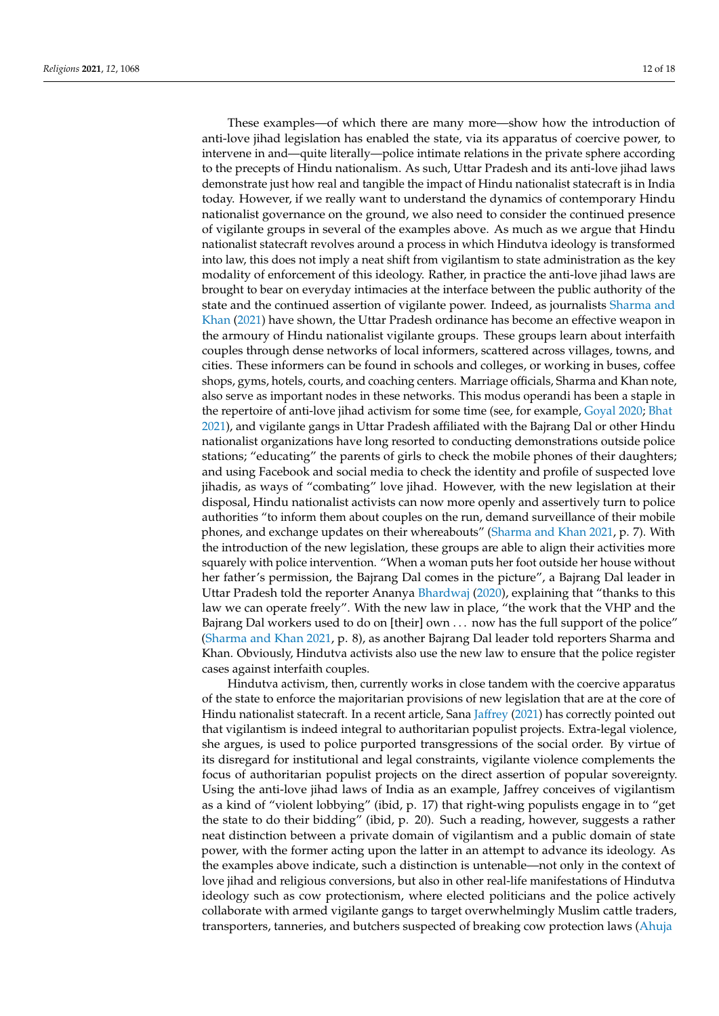These examples—of which there are many more—show how the introduction of anti-love jihad legislation has enabled the state, via its apparatus of coercive power, to intervene in and—quite literally—police intimate relations in the private sphere according to the precepts of Hindu nationalism. As such, Uttar Pradesh and its anti-love jihad laws demonstrate just how real and tangible the impact of Hindu nationalist statecraft is in India today. However, if we really want to understand the dynamics of contemporary Hindu nationalist governance on the ground, we also need to consider the continued presence of vigilante groups in several of the examples above. As much as we argue that Hindu nationalist statecraft revolves around a process in which Hindutva ideology is transformed into law, this does not imply a neat shift from vigilantism to state administration as the key modality of enforcement of this ideology. Rather, in practice the anti-love jihad laws are brought to bear on everyday intimacies at the interface between the public authority of the state and the continued assertion of vigilante power. Indeed, as journalists [Sharma and](#page-16-22) [Khan](#page-16-22) [\(2021\)](#page-16-22) have shown, the Uttar Pradesh ordinance has become an effective weapon in the armoury of Hindu nationalist vigilante groups. These groups learn about interfaith couples through dense networks of local informers, scattered across villages, towns, and cities. These informers can be found in schools and colleges, or working in buses, coffee shops, gyms, hotels, courts, and coaching centers. Marriage officials, Sharma and Khan note, also serve as important nodes in these networks. This modus operandi has been a staple in the repertoire of anti-love jihad activism for some time (see, for example, [Goyal](#page-15-21) [2020;](#page-15-21) [Bhat](#page-14-19) [2021\)](#page-14-19), and vigilante gangs in Uttar Pradesh affiliated with the Bajrang Dal or other Hindu nationalist organizations have long resorted to conducting demonstrations outside police stations; "educating" the parents of girls to check the mobile phones of their daughters; and using Facebook and social media to check the identity and profile of suspected love jihadis, as ways of "combating" love jihad. However, with the new legislation at their disposal, Hindu nationalist activists can now more openly and assertively turn to police authorities "to inform them about couples on the run, demand surveillance of their mobile phones, and exchange updates on their whereabouts" [\(Sharma and Khan](#page-16-22) [2021,](#page-16-22) p. 7). With the introduction of the new legislation, these groups are able to align their activities more squarely with police intervention. "When a woman puts her foot outside her house without her father's permission, the Bajrang Dal comes in the picture", a Bajrang Dal leader in Uttar Pradesh told the reporter Ananya [Bhardwaj](#page-14-20) [\(2020\)](#page-14-20), explaining that "thanks to this law we can operate freely". With the new law in place, "the work that the VHP and the Bajrang Dal workers used to do on [their] own . . . now has the full support of the police" [\(Sharma and Khan](#page-16-22) [2021,](#page-16-22) p. 8), as another Bajrang Dal leader told reporters Sharma and Khan. Obviously, Hindutva activists also use the new law to ensure that the police register cases against interfaith couples.

Hindutva activism, then, currently works in close tandem with the coercive apparatus of the state to enforce the majoritarian provisions of new legislation that are at the core of Hindu nationalist statecraft. In a recent article, Sana [Jaffrey](#page-15-0) [\(2021\)](#page-15-0) has correctly pointed out that vigilantism is indeed integral to authoritarian populist projects. Extra-legal violence, she argues, is used to police purported transgressions of the social order. By virtue of its disregard for institutional and legal constraints, vigilante violence complements the focus of authoritarian populist projects on the direct assertion of popular sovereignty. Using the anti-love jihad laws of India as an example, Jaffrey conceives of vigilantism as a kind of "violent lobbying" (ibid, p. 17) that right-wing populists engage in to "get the state to do their bidding" (ibid, p. 20). Such a reading, however, suggests a rather neat distinction between a private domain of vigilantism and a public domain of state power, with the former acting upon the latter in an attempt to advance its ideology. As the examples above indicate, such a distinction is untenable—not only in the context of love jihad and religious conversions, but also in other real-life manifestations of Hindutva ideology such as cow protectionism, where elected politicians and the police actively collaborate with armed vigilante gangs to target overwhelmingly Muslim cattle traders, transporters, tanneries, and butchers suspected of breaking cow protection laws [\(Ahuja](#page-14-21)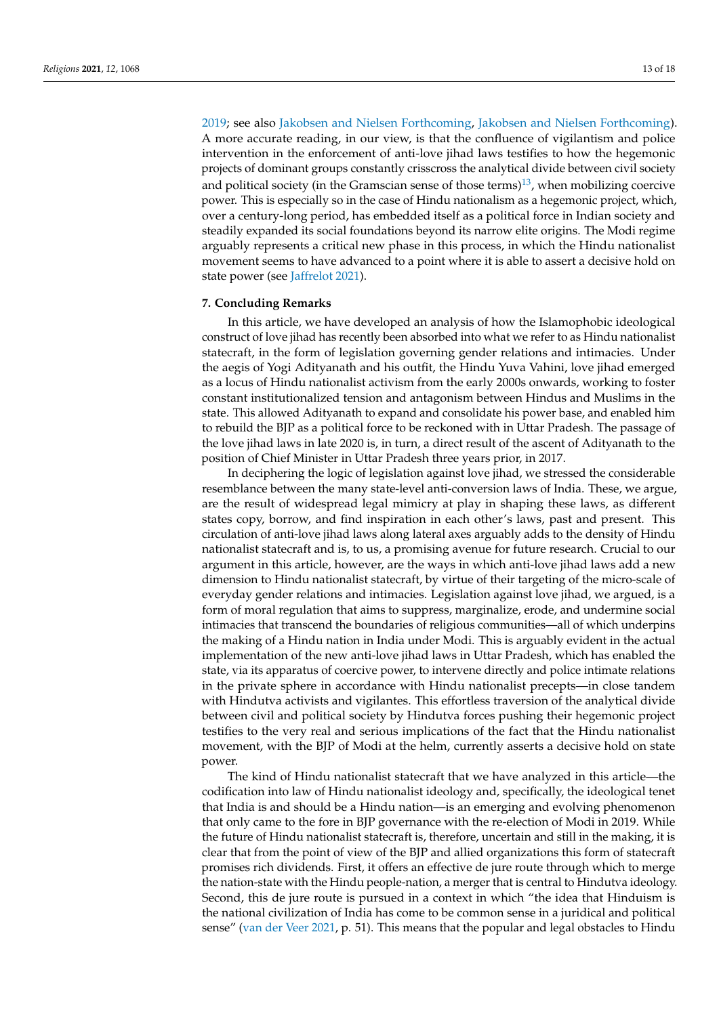<span id="page-12-0"></span>[2019;](#page-14-21) see also [Jakobsen and Nielsen](#page-15-22) [Forthcoming,](#page-15-22) [Jakobsen and Nielsen](#page-15-23) [Forthcoming\)](#page-15-23). A more accurate reading, in our view, is that the confluence of vigilantism and police intervention in the enforcement of anti-love jihad laws testifies to how the hegemonic projects of dominant groups constantly crisscross the analytical divide between civil society and political society (in the Gramscian sense of those terms)<sup>[13](#page-14-22)</sup>, when mobilizing coercive power. This is especially so in the case of Hindu nationalism as a hegemonic project, which, over a century-long period, has embedded itself as a political force in Indian society and steadily expanded its social foundations beyond its narrow elite origins. The Modi regime arguably represents a critical new phase in this process, in which the Hindu nationalist movement seems to have advanced to a point where it is able to assert a decisive hold on state power (see [Jaffrelot](#page-15-7) [2021\)](#page-15-7).

### **7. Concluding Remarks**

In this article, we have developed an analysis of how the Islamophobic ideological construct of love jihad has recently been absorbed into what we refer to as Hindu nationalist statecraft, in the form of legislation governing gender relations and intimacies. Under the aegis of Yogi Adityanath and his outfit, the Hindu Yuva Vahini, love jihad emerged as a locus of Hindu nationalist activism from the early 2000s onwards, working to foster constant institutionalized tension and antagonism between Hindus and Muslims in the state. This allowed Adityanath to expand and consolidate his power base, and enabled him to rebuild the BJP as a political force to be reckoned with in Uttar Pradesh. The passage of the love jihad laws in late 2020 is, in turn, a direct result of the ascent of Adityanath to the position of Chief Minister in Uttar Pradesh three years prior, in 2017.

In deciphering the logic of legislation against love jihad, we stressed the considerable resemblance between the many state-level anti-conversion laws of India. These, we argue, are the result of widespread legal mimicry at play in shaping these laws, as different states copy, borrow, and find inspiration in each other's laws, past and present. This circulation of anti-love jihad laws along lateral axes arguably adds to the density of Hindu nationalist statecraft and is, to us, a promising avenue for future research. Crucial to our argument in this article, however, are the ways in which anti-love jihad laws add a new dimension to Hindu nationalist statecraft, by virtue of their targeting of the micro-scale of everyday gender relations and intimacies. Legislation against love jihad, we argued, is a form of moral regulation that aims to suppress, marginalize, erode, and undermine social intimacies that transcend the boundaries of religious communities—all of which underpins the making of a Hindu nation in India under Modi. This is arguably evident in the actual implementation of the new anti-love jihad laws in Uttar Pradesh, which has enabled the state, via its apparatus of coercive power, to intervene directly and police intimate relations in the private sphere in accordance with Hindu nationalist precepts—in close tandem with Hindutva activists and vigilantes. This effortless traversion of the analytical divide between civil and political society by Hindutva forces pushing their hegemonic project testifies to the very real and serious implications of the fact that the Hindu nationalist movement, with the BJP of Modi at the helm, currently asserts a decisive hold on state power.

The kind of Hindu nationalist statecraft that we have analyzed in this article—the codification into law of Hindu nationalist ideology and, specifically, the ideological tenet that India is and should be a Hindu nation—is an emerging and evolving phenomenon that only came to the fore in BJP governance with the re-election of Modi in 2019. While the future of Hindu nationalist statecraft is, therefore, uncertain and still in the making, it is clear that from the point of view of the BJP and allied organizations this form of statecraft promises rich dividends. First, it offers an effective de jure route through which to merge the nation-state with the Hindu people-nation, a merger that is central to Hindutva ideology. Second, this de jure route is pursued in a context in which "the idea that Hinduism is the national civilization of India has come to be common sense in a juridical and political sense" [\(van der Veer](#page-16-13) [2021,](#page-16-13) p. 51). This means that the popular and legal obstacles to Hindu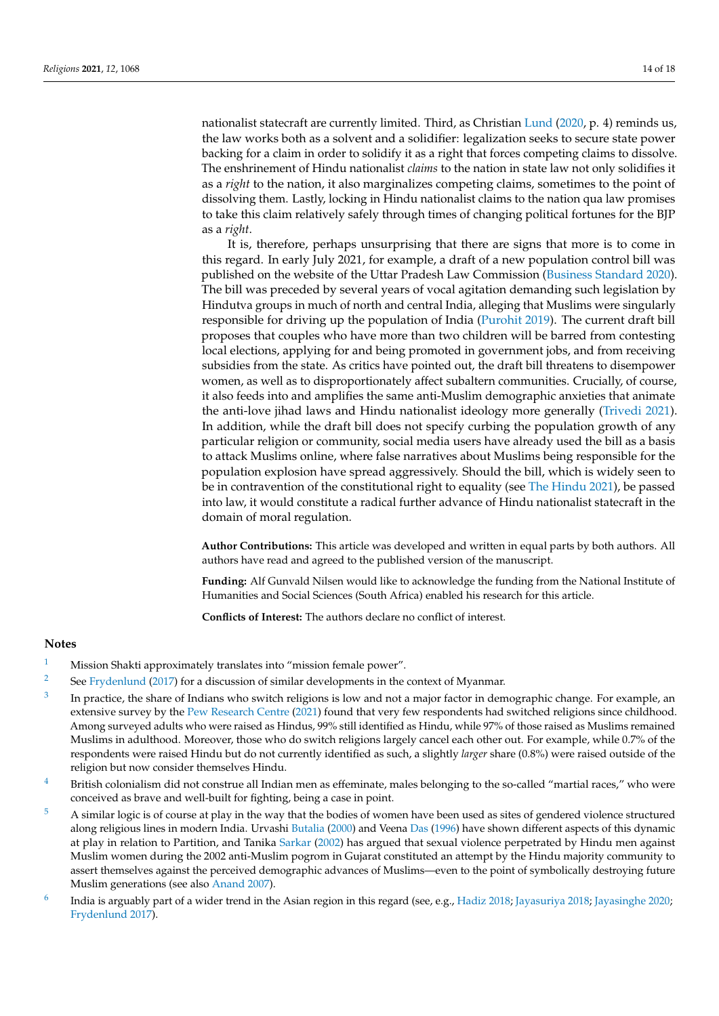nationalist statecraft are currently limited. Third, as Christian [Lund](#page-16-23) [\(2020,](#page-16-23) p. 4) reminds us, the law works both as a solvent and a solidifier: legalization seeks to secure state power backing for a claim in order to solidify it as a right that forces competing claims to dissolve. The enshrinement of Hindu nationalist *claims* to the nation in state law not only solidifies it as a *right* to the nation, it also marginalizes competing claims, sometimes to the point of dissolving them. Lastly, locking in Hindu nationalist claims to the nation qua law promises to take this claim relatively safely through times of changing political fortunes for the BJP as a *right*.

It is, therefore, perhaps unsurprising that there are signs that more is to come in this regard. In early July 2021, for example, a draft of a new population control bill was published on the website of the Uttar Pradesh Law Commission [\(Business Standard](#page-14-23) [2020\)](#page-14-23). The bill was preceded by several years of vocal agitation demanding such legislation by Hindutva groups in much of north and central India, alleging that Muslims were singularly responsible for driving up the population of India [\(Purohit](#page-16-24) [2019\)](#page-16-24). The current draft bill proposes that couples who have more than two children will be barred from contesting local elections, applying for and being promoted in government jobs, and from receiving subsidies from the state. As critics have pointed out, the draft bill threatens to disempower women, as well as to disproportionately affect subaltern communities. Crucially, of course, it also feeds into and amplifies the same anti-Muslim demographic anxieties that animate the anti-love jihad laws and Hindu nationalist ideology more generally [\(Trivedi](#page-16-25) [2021\)](#page-16-25). In addition, while the draft bill does not specify curbing the population growth of any particular religion or community, social media users have already used the bill as a basis to attack Muslims online, where false narratives about Muslims being responsible for the population explosion have spread aggressively. Should the bill, which is widely seen to be in contravention of the constitutional right to equality (see [The Hindu](#page-16-26) [2021\)](#page-16-26), be passed into law, it would constitute a radical further advance of Hindu nationalist statecraft in the domain of moral regulation.

**Author Contributions:** This article was developed and written in equal parts by both authors. All authors have read and agreed to the published version of the manuscript.

**Funding:** Alf Gunvald Nilsen would like to acknowledge the funding from the National Institute of Humanities and Social Sciences (South Africa) enabled his research for this article.

**Conflicts of Interest:** The authors declare no conflict of interest.

## **Notes**

- <span id="page-13-0"></span><sup>[1](#page-1-0)</sup> Mission Shakti approximately translates into "mission female power".
- <span id="page-13-1"></span><sup>[2](#page-2-1)</sup> See [Frydenlund](#page-15-24) [\(2017\)](#page-15-24) for a discussion of similar developments in the context of Myanmar.
- <span id="page-13-2"></span>[3](#page-2-2) In practice, the share of Indians who switch religions is low and not a major factor in demographic change. For example, an extensive survey by the [Pew Research Centre](#page-16-27) [\(2021\)](#page-16-27) found that very few respondents had switched religions since childhood. Among surveyed adults who were raised as Hindus, 99% still identified as Hindu, while 97% of those raised as Muslims remained Muslims in adulthood. Moreover, those who do switch religions largely cancel each other out. For example, while 0.7% of the respondents were raised Hindu but do not currently identified as such, a slightly *larger* share (0.8%) were raised outside of the religion but now consider themselves Hindu.
- <span id="page-13-3"></span> $4$  British colonialism did not construe all Indian men as effeminate, males belonging to the so-called "martial races," who were conceived as brave and well-built for fighting, being a case in point.
- <span id="page-13-4"></span><sup>[5](#page-3-1)</sup> A similar logic is of course at play in the way that the bodies of women have been used as sites of gendered violence structured along religious lines in modern India. Urvashi [Butalia](#page-14-24) [\(2000\)](#page-14-24) and Veena [Das](#page-15-25) [\(1996\)](#page-15-25) have shown different aspects of this dynamic at play in relation to Partition, and Tanika [Sarkar](#page-16-28) [\(2002\)](#page-16-28) has argued that sexual violence perpetrated by Hindu men against Muslim women during the 2002 anti-Muslim pogrom in Gujarat constituted an attempt by the Hindu majority community to assert themselves against the perceived demographic advances of Muslims—even to the point of symbolically destroying future Muslim generations (see also [Anand](#page-14-25) [2007\)](#page-14-25).
- <span id="page-13-5"></span>[6](#page-4-0) India is arguably part of a wider trend in the Asian region in this regard (see, e.g., [Hadiz](#page-15-26) [2018;](#page-15-26) [Jayasuriya](#page-15-27) [2018;](#page-15-27) [Jayasinghe](#page-15-28) [2020;](#page-15-28) [Frydenlund](#page-15-24) [2017\)](#page-15-24).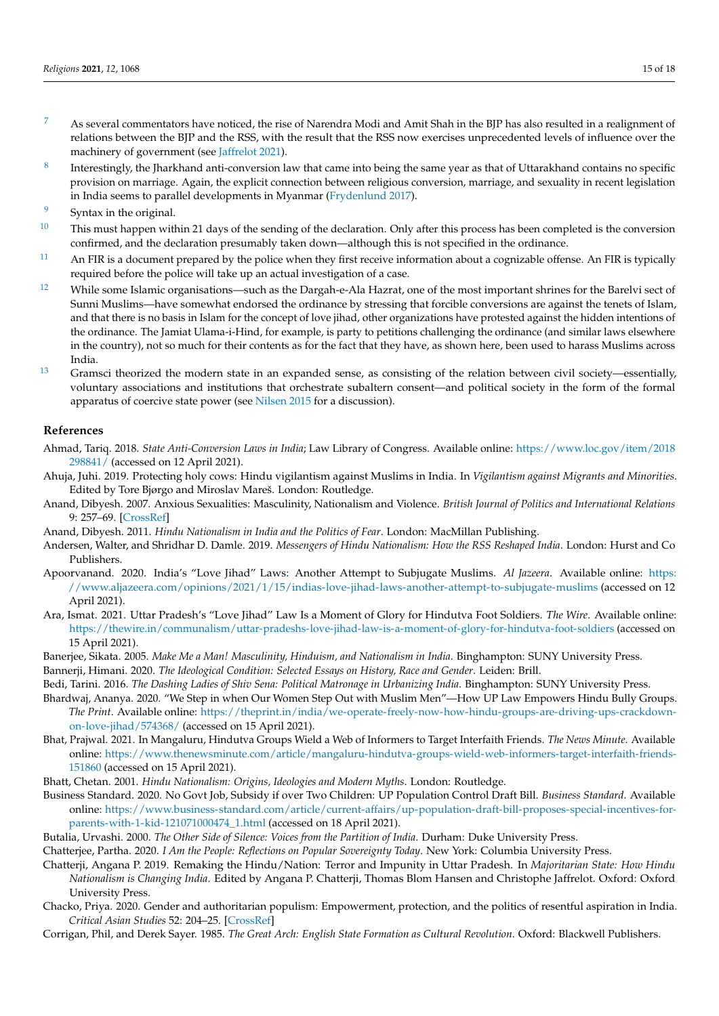- <span id="page-14-9"></span><sup>[7](#page-5-0)</sup> As several commentators have noticed, the rise of Narendra Modi and Amit Shah in the BJP has also resulted in a realignment of relations between the BJP and the RSS, with the result that the RSS now exercises unprecedented levels of influence over the machinery of government (see [Jaffrelot](#page-15-7) [2021\)](#page-15-7).
- <span id="page-14-11"></span>[8](#page-6-1) Interestingly, the Jharkhand anti-conversion law that came into being the same year as that of Uttarakhand contains no specific provision on marriage. Again, the explicit connection between religious conversion, marriage, and sexuality in recent legislation in India seems to parallel developments in Myanmar [\(Frydenlund](#page-15-24) [2017\)](#page-15-24).
- <span id="page-14-12"></span>Syntax in the original.
- <span id="page-14-13"></span> $10$  This must happen within 21 days of the sending of the declaration. Only after this process has been completed is the conversion confirmed, and the declaration presumably taken down—although this is not specified in the ordinance.
- <span id="page-14-14"></span> $11$  An FIR is a document prepared by the police when they first receive information about a cognizable offense. An FIR is typically required before the police will take up an actual investigation of a case.
- <span id="page-14-18"></span><sup>[12](#page-10-1)</sup> While some Islamic organisations—such as the Dargah-e-Ala Hazrat, one of the most important shrines for the Barelvi sect of Sunni Muslims—have somewhat endorsed the ordinance by stressing that forcible conversions are against the tenets of Islam, and that there is no basis in Islam for the concept of love jihad, other organizations have protested against the hidden intentions of the ordinance. The Jamiat Ulama-i-Hind, for example, is party to petitions challenging the ordinance (and similar laws elsewhere in the country), not so much for their contents as for the fact that they have, as shown here, been used to harass Muslims across India.
- <span id="page-14-22"></span> $^{13}$  $^{13}$  $^{13}$  Gramsci theorized the modern state in an expanded sense, as consisting of the relation between civil society—essentially, voluntary associations and institutions that orchestrate subaltern consent—and political society in the form of the formal apparatus of coercive state power (see [Nilsen](#page-16-29) [2015](#page-16-29) for a discussion).

## **References**

- <span id="page-14-10"></span>Ahmad, Tariq. 2018. *State Anti-Conversion Laws in India*; Law Library of Congress. Available online: [https://www.loc.gov/item/2018](https://www.loc.gov/item/2018298841/) [298841/](https://www.loc.gov/item/2018298841/) (accessed on 12 April 2021).
- <span id="page-14-21"></span>Ahuja, Juhi. 2019. Protecting holy cows: Hindu vigilantism against Muslims in India. In *Vigilantism against Migrants and Minorities*. Edited by Tore Bjørgo and Miroslav Mareš. London: Routledge.
- <span id="page-14-25"></span>Anand, Dibyesh. 2007. Anxious Sexualities: Masculinity, Nationalism and Violence. *British Journal of Politics and International Relations* 9: 257–69. [\[CrossRef\]](http://doi.org/10.1111/j.1467-856x.2007.00282.x)
- <span id="page-14-4"></span>Anand, Dibyesh. 2011. *Hindu Nationalism in India and the Politics of Fear*. London: MacMillan Publishing.
- <span id="page-14-2"></span>Andersen, Walter, and Shridhar D. Damle. 2019. *Messengers of Hindu Nationalism: How the RSS Reshaped India*. London: Hurst and Co Publishers.
- <span id="page-14-17"></span>Apoorvanand. 2020. India's "Love Jihad" Laws: Another Attempt to Subjugate Muslims. *Al Jazeera*. Available online: [https:](https://www.aljazeera.com/opinions/2021/1/15/indias-love-jihad-laws-another-attempt-to-subjugate-muslims) [//www.aljazeera.com/opinions/2021/1/15/indias-love-jihad-laws-another-attempt-to-subjugate-muslims](https://www.aljazeera.com/opinions/2021/1/15/indias-love-jihad-laws-another-attempt-to-subjugate-muslims) (accessed on 12 April 2021).
- <span id="page-14-0"></span>Ara, Ismat. 2021. Uttar Pradesh's "Love Jihad" Law Is a Moment of Glory for Hindutva Foot Soldiers. *The Wire*. Available online: <https://thewire.in/communalism/uttar-pradeshs-love-jihad-law-is-a-moment-of-glory-for-hindutva-foot-soldiers> (accessed on 15 April 2021).
- <span id="page-14-5"></span>Banerjee, Sikata. 2005. *Make Me a Man! Masculinity, Hinduism, and Nationalism in India*. Binghampton: SUNY University Press.
- <span id="page-14-6"></span>Bannerji, Himani. 2020. *The Ideological Condition: Selected Essays on History, Race and Gender*. Leiden: Brill.
- <span id="page-14-7"></span>Bedi, Tarini. 2016. *The Dashing Ladies of Shiv Sena: Political Matronage in Urbanizing India*. Binghampton: SUNY University Press.
- <span id="page-14-20"></span>Bhardwaj, Ananya. 2020. "We Step in when Our Women Step Out with Muslim Men"—How UP Law Empowers Hindu Bully Groups. *The Print*. Available online: [https://theprint.in/india/we-operate-freely-now-how-hindu-groups-are-driving-ups-crackdown](https://theprint.in/india/we-operate-freely-now-how-hindu-groups-are-driving-ups-crackdown-on-love-jihad/574368/)[on-love-jihad/574368/](https://theprint.in/india/we-operate-freely-now-how-hindu-groups-are-driving-ups-crackdown-on-love-jihad/574368/) (accessed on 15 April 2021).
- <span id="page-14-19"></span>Bhat, Prajwal. 2021. In Mangaluru, Hindutva Groups Wield a Web of Informers to Target Interfaith Friends. *The News Minute*. Available online: [https://www.thenewsminute.com/article/mangaluru-hindutva-groups-wield-web-informers-target-interfaith-friends-](https://www.thenewsminute.com/article/mangaluru-hindutva-groups-wield-web-informers-target-interfaith-friends-151860)[151860](https://www.thenewsminute.com/article/mangaluru-hindutva-groups-wield-web-informers-target-interfaith-friends-151860) (accessed on 15 April 2021).
- <span id="page-14-3"></span>Bhatt, Chetan. 2001. *Hindu Nationalism: Origins, Ideologies and Modern Myths*. London: Routledge.
- <span id="page-14-23"></span>Business Standard. 2020. No Govt Job, Subsidy if over Two Children: UP Population Control Draft Bill. *Business Standard*. Available online: [https://www.business-standard.com/article/current-affairs/up-population-draft-bill-proposes-special-incentives-for](https://www.business-standard.com/article/current-affairs/up-population-draft-bill-proposes-special-incentives-for-parents-with-1-kid-121071000474_1.html)[parents-with-1-kid-121071000474\\_1.html](https://www.business-standard.com/article/current-affairs/up-population-draft-bill-proposes-special-incentives-for-parents-with-1-kid-121071000474_1.html) (accessed on 18 April 2021).
- <span id="page-14-24"></span>Butalia, Urvashi. 2000. *The Other Side of Silence: Voices from the Partition of India*. Durham: Duke University Press.
- <span id="page-14-16"></span>Chatterjee, Partha. 2020. *I Am the People: Reflections on Popular Sovereignty Today*. New York: Columbia University Press.
- <span id="page-14-8"></span>Chatterji, Angana P. 2019. Remaking the Hindu/Nation: Terror and Impunity in Uttar Pradesh. In *Majoritarian State: How Hindu Nationalism is Changing India*. Edited by Angana P. Chatterji, Thomas Blom Hansen and Christophe Jaffrelot. Oxford: Oxford University Press.
- <span id="page-14-1"></span>Chacko, Priya. 2020. Gender and authoritarian populism: Empowerment, protection, and the politics of resentful aspiration in India. *Critical Asian Studies* 52: 204–25. [\[CrossRef\]](http://doi.org/10.1080/14672715.2020.1711789)
- <span id="page-14-15"></span>Corrigan, Phil, and Derek Sayer. 1985. *The Great Arch: English State Formation as Cultural Revolution*. Oxford: Blackwell Publishers.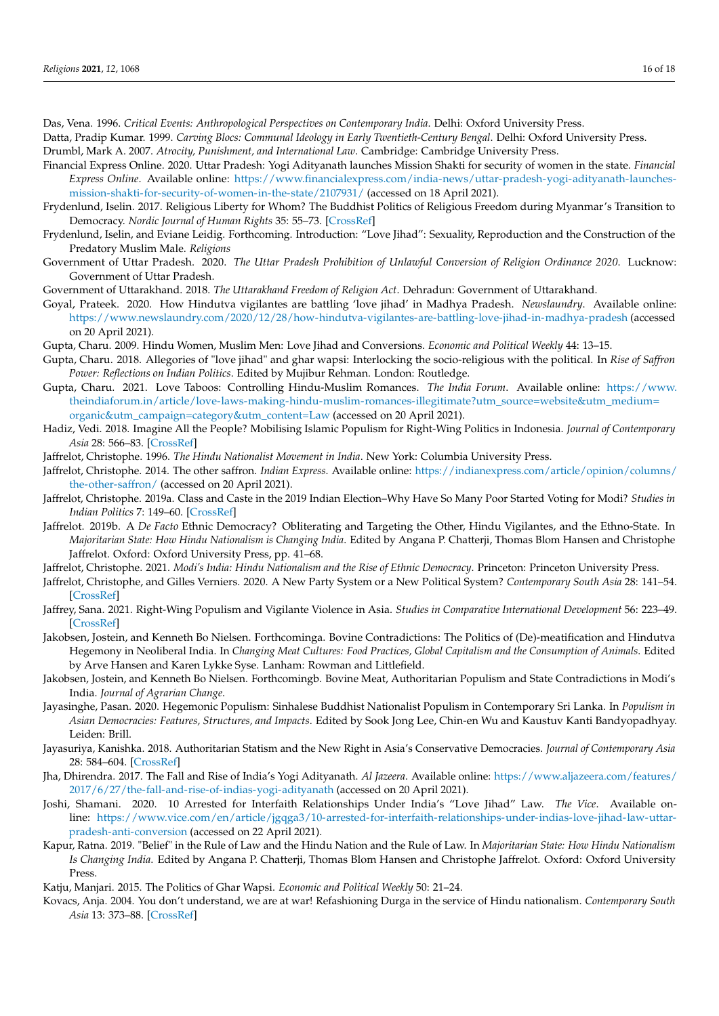<span id="page-15-25"></span>Das, Vena. 1996. *Critical Events: Anthropological Perspectives on Contemporary India*. Delhi: Oxford University Press.

- <span id="page-15-18"></span><span id="page-15-9"></span>Datta, Pradip Kumar. 1999. *Carving Blocs: Communal Ideology in Early Twentieth-Century Bengal*. Delhi: Oxford University Press. Drumbl, Mark A. 2007. *Atrocity, Punishment, and International Law*. Cambridge: Cambridge University Press.
- <span id="page-15-1"></span>Financial Express Online. 2020. Uttar Pradesh: Yogi Adityanath launches Mission Shakti for security of women in the state. *Financial Express Online*. Available online: [https://www.financialexpress.com/india-news/uttar-pradesh-yogi-adityanath-launches](https://www.financialexpress.com/india-news/uttar-pradesh-yogi-adityanath-launches-mission-shakti-for-security-of-women-in-the-state/2107931/)[mission-shakti-for-security-of-women-in-the-state/2107931/](https://www.financialexpress.com/india-news/uttar-pradesh-yogi-adityanath-launches-mission-shakti-for-security-of-women-in-the-state/2107931/) (accessed on 18 April 2021).
- <span id="page-15-24"></span>Frydenlund, Iselin. 2017. Religious Liberty for Whom? The Buddhist Politics of Religious Freedom during Myanmar's Transition to Democracy. *Nordic Journal of Human Rights* 35: 55–73. [\[CrossRef\]](http://doi.org/10.1080/18918131.2017.1288950)
- <span id="page-15-5"></span>Frydenlund, Iselin, and Eviane Leidig. Forthcoming. Introduction: "Love Jihad": Sexuality, Reproduction and the Construction of the Predatory Muslim Male. *Religions*
- <span id="page-15-19"></span>Government of Uttar Pradesh. 2020. *The Uttar Pradesh Prohibition of Unlawful Conversion of Religion Ordinance 2020*. Lucknow: Government of Uttar Pradesh.

<span id="page-15-17"></span>Government of Uttarakhand. 2018. *The Uttarakhand Freedom of Religion Act*. Dehradun: Government of Uttarakhand.

- <span id="page-15-21"></span>Goyal, Prateek. 2020. How Hindutva vigilantes are battling 'love jihad' in Madhya Pradesh. *Newslaundry*. Available online: <https://www.newslaundry.com/2020/12/28/how-hindutva-vigilantes-are-battling-love-jihad-in-madhya-pradesh> (accessed on 20 April 2021).
- <span id="page-15-11"></span>Gupta, Charu. 2009. Hindu Women, Muslim Men: Love Jihad and Conversions. *Economic and Political Weekly* 44: 13–15.
- <span id="page-15-13"></span>Gupta, Charu. 2018. Allegories of "love jihad" and ghar wapsi: Interlocking the socio-religious with the political. In *Rise of Saffron Power: Reflections on Indian Politics*. Edited by Mujibur Rehman. London: Routledge.
- <span id="page-15-12"></span>Gupta, Charu. 2021. Love Taboos: Controlling Hindu-Muslim Romances. *The India Forum*. Available online: [https://www.](https://www.theindiaforum.in/article/love-laws-making-hindu-muslim-romances-illegitimate?utm_source=website&utm_medium=organic&utm_campaign=category&utm_content=Law) [theindiaforum.in/article/love-laws-making-hindu-muslim-romances-illegitimate?utm\\_source=website&utm\\_medium=](https://www.theindiaforum.in/article/love-laws-making-hindu-muslim-romances-illegitimate?utm_source=website&utm_medium=organic&utm_campaign=category&utm_content=Law) [organic&utm\\_campaign=category&utm\\_content=Law](https://www.theindiaforum.in/article/love-laws-making-hindu-muslim-romances-illegitimate?utm_source=website&utm_medium=organic&utm_campaign=category&utm_content=Law) (accessed on 20 April 2021).
- <span id="page-15-26"></span>Hadiz, Vedi. 2018. Imagine All the People? Mobilising Islamic Populism for Right-Wing Politics in Indonesia. *Journal of Contemporary Asia* 28: 566–83. [\[CrossRef\]](http://doi.org/10.1080/00472336.2018.1433225)
- <span id="page-15-8"></span>Jaffrelot, Christophe. 1996. *The Hindu Nationalist Movement in India*. New York: Columbia University Press.
- <span id="page-15-3"></span>Jaffrelot, Christophe. 2014. The other saffron. *Indian Express*. Available online: [https://indianexpress.com/article/opinion/columns/](https://indianexpress.com/article/opinion/columns/the-other-saffron/) [the-other-saffron/](https://indianexpress.com/article/opinion/columns/the-other-saffron/) (accessed on 20 April 2021).
- <span id="page-15-4"></span>Jaffrelot, Christophe. 2019a. Class and Caste in the 2019 Indian Election–Why Have So Many Poor Started Voting for Modi? *Studies in Indian Politics* 7: 149–60. [\[CrossRef\]](http://doi.org/10.1177/2321023019874890)
- <span id="page-15-6"></span>Jaffrelot. 2019b. A *De Facto* Ethnic Democracy? Obliterating and Targeting the Other, Hindu Vigilantes, and the Ethno-State. In *Majoritarian State: How Hindu Nationalism is Changing India*. Edited by Angana P. Chatterji, Thomas Blom Hansen and Christophe Jaffrelot. Oxford: Oxford University Press, pp. 41–68.
- <span id="page-15-7"></span>Jaffrelot, Christophe. 2021. *Modi's India: Hindu Nationalism and the Rise of Ethnic Democracy*. Princeton: Princeton University Press.
- <span id="page-15-2"></span>Jaffrelot, Christophe, and Gilles Verniers. 2020. A New Party System or a New Political System? *Contemporary South Asia* 28: 141–54. [\[CrossRef\]](http://doi.org/10.1080/09584935.2020.1765990)
- <span id="page-15-0"></span>Jaffrey, Sana. 2021. Right-Wing Populism and Vigilante Violence in Asia. *Studies in Comparative International Development* 56: 223–49. [\[CrossRef\]](http://doi.org/10.1007/s12116-021-09336-7)
- <span id="page-15-22"></span>Jakobsen, Jostein, and Kenneth Bo Nielsen. Forthcominga. Bovine Contradictions: The Politics of (De)-meatification and Hindutva Hegemony in Neoliberal India. In *Changing Meat Cultures: Food Practices, Global Capitalism and the Consumption of Animals*. Edited by Arve Hansen and Karen Lykke Syse. Lanham: Rowman and Littlefield.
- <span id="page-15-23"></span>Jakobsen, Jostein, and Kenneth Bo Nielsen. Forthcomingb. Bovine Meat, Authoritarian Populism and State Contradictions in Modi's India. *Journal of Agrarian Change*.
- <span id="page-15-28"></span>Jayasinghe, Pasan. 2020. Hegemonic Populism: Sinhalese Buddhist Nationalist Populism in Contemporary Sri Lanka. In *Populism in Asian Democracies: Features, Structures, and Impacts*. Edited by Sook Jong Lee, Chin-en Wu and Kaustuv Kanti Bandyopadhyay. Leiden: Brill.
- <span id="page-15-27"></span>Jayasuriya, Kanishka. 2018. Authoritarian Statism and the New Right in Asia's Conservative Democracies. *Journal of Contemporary Asia* 28: 584–604. [\[CrossRef\]](http://doi.org/10.1080/00472336.2018.1431304)
- <span id="page-15-16"></span>Jha, Dhirendra. 2017. The Fall and Rise of India's Yogi Adityanath. *Al Jazeera*. Available online: [https://www.aljazeera.com/features/](https://www.aljazeera.com/features/2017/6/27/the-fall-and-rise-of-indias-yogi-adityanath) [2017/6/27/the-fall-and-rise-of-indias-yogi-adityanath](https://www.aljazeera.com/features/2017/6/27/the-fall-and-rise-of-indias-yogi-adityanath) (accessed on 20 April 2021).
- <span id="page-15-20"></span>Joshi, Shamani. 2020. 10 Arrested for Interfaith Relationships Under India's "Love Jihad" Law. *The Vice*. Available online: [https://www.vice.com/en/article/jgqga3/10-arrested-for-interfaith-relationships-under-indias-love-jihad-law-uttar](https://www.vice.com/en/article/jgqga3/10-arrested-for-interfaith-relationships-under-indias-love-jihad-law-uttar-pradesh-anti-conversion)[pradesh-anti-conversion](https://www.vice.com/en/article/jgqga3/10-arrested-for-interfaith-relationships-under-indias-love-jihad-law-uttar-pradesh-anti-conversion) (accessed on 22 April 2021).
- <span id="page-15-15"></span>Kapur, Ratna. 2019. "Belief" in the Rule of Law and the Hindu Nation and the Rule of Law. In *Majoritarian State: How Hindu Nationalism Is Changing India*. Edited by Angana P. Chatterji, Thomas Blom Hansen and Christophe Jaffrelot. Oxford: Oxford University Press.
- <span id="page-15-14"></span>Katju, Manjari. 2015. The Politics of Ghar Wapsi. *Economic and Political Weekly* 50: 21–24.
- <span id="page-15-10"></span>Kovacs, Anja. 2004. You don't understand, we are at war! Refashioning Durga in the service of Hindu nationalism. *Contemporary South Asia* 13: 373–88. [\[CrossRef\]](http://doi.org/10.1080/09584930500070597)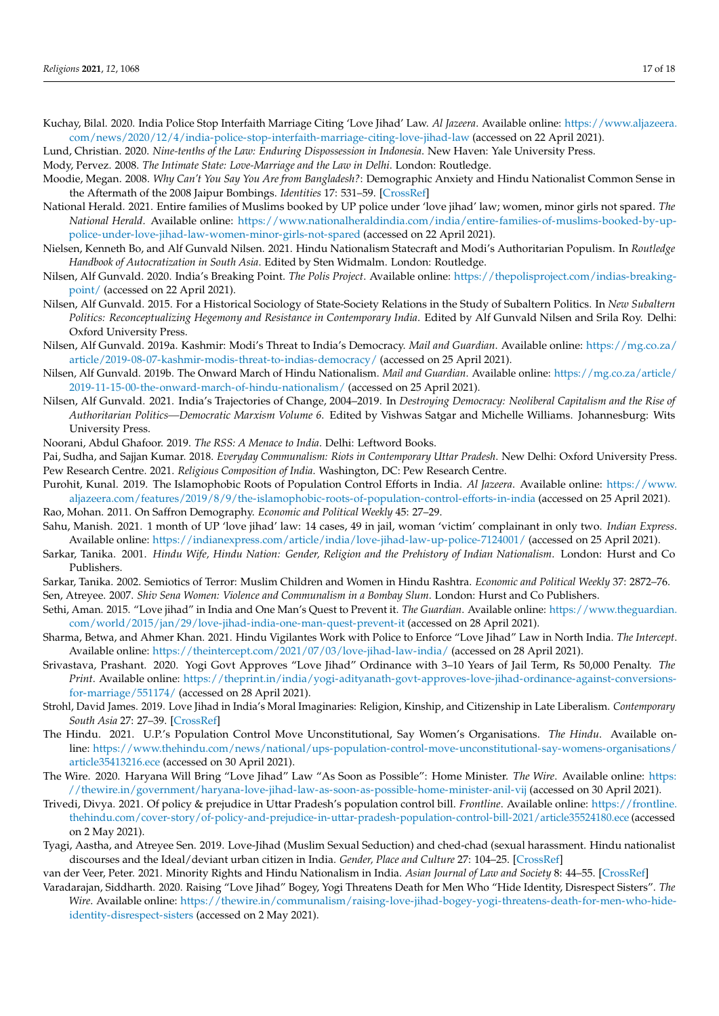- <span id="page-16-19"></span>Kuchay, Bilal. 2020. India Police Stop Interfaith Marriage Citing 'Love Jihad' Law. *Al Jazeera*. Available online: [https://www.aljazeera.](https://www.aljazeera.com/news/2020/12/4/india-police-stop-interfaith-marriage-citing-love-jihad-law) [com/news/2020/12/4/india-police-stop-interfaith-marriage-citing-love-jihad-law](https://www.aljazeera.com/news/2020/12/4/india-police-stop-interfaith-marriage-citing-love-jihad-law) (accessed on 22 April 2021).
- <span id="page-16-23"></span>Lund, Christian. 2020. *Nine-tenths of the Law: Enduring Dispossession in Indonesia*. New Haven: Yale University Press.

<span id="page-16-5"></span>Mody, Pervez. 2008. *The Intimate State: Love-Marriage and the Law in Delhi*. London: Routledge.

- <span id="page-16-8"></span>Moodie, Megan. 2008. *Why Can't You Say You Are from Bangladesh?*: Demographic Anxiety and Hindu Nationalist Common Sense in the Aftermath of the 2008 Jaipur Bombings. *Identities* 17: 531–59. [\[CrossRef\]](http://doi.org/10.1080/1070289X.2010.526889)
- <span id="page-16-21"></span>National Herald. 2021. Entire families of Muslims booked by UP police under 'love jihad' law; women, minor girls not spared. *The National Herald*. Available online: [https://www.nationalheraldindia.com/india/entire-families-of-muslims-booked-by-up](https://www.nationalheraldindia.com/india/entire-families-of-muslims-booked-by-up-police-under-love-jihad-law-women-minor-girls-not-spared)[police-under-love-jihad-law-women-minor-girls-not-spared](https://www.nationalheraldindia.com/india/entire-families-of-muslims-booked-by-up-police-under-love-jihad-law-women-minor-girls-not-spared) (accessed on 22 April 2021).
- <span id="page-16-3"></span>Nielsen, Kenneth Bo, and Alf Gunvald Nilsen. 2021. Hindu Nationalism Statecraft and Modi's Authoritarian Populism. In *Routledge Handbook of Autocratization in South Asia*. Edited by Sten Widmalm. London: Routledge.
- <span id="page-16-16"></span>Nilsen, Alf Gunvald. 2020. India's Breaking Point. *The Polis Project*. Available online: [https://thepolisproject.com/indias-breaking](https://thepolisproject.com/indias-breaking-point/)[point/](https://thepolisproject.com/indias-breaking-point/) (accessed on 22 April 2021).
- <span id="page-16-29"></span>Nilsen, Alf Gunvald. 2015. For a Historical Sociology of State-Society Relations in the Study of Subaltern Politics. In *New Subaltern Politics: Reconceptualizing Hegemony and Resistance in Contemporary India*. Edited by Alf Gunvald Nilsen and Srila Roy. Delhi: Oxford University Press.
- <span id="page-16-14"></span>Nilsen, Alf Gunvald. 2019a. Kashmir: Modi's Threat to India's Democracy. *Mail and Guardian*. Available online: [https://mg.co.za/](https://mg.co.za/article/2019-08-07-kashmir-modis-threat-to-indias-democracy/) [article/2019-08-07-kashmir-modis-threat-to-indias-democracy/](https://mg.co.za/article/2019-08-07-kashmir-modis-threat-to-indias-democracy/) (accessed on 25 April 2021).
- <span id="page-16-15"></span>Nilsen, Alf Gunvald. 2019b. The Onward March of Hindu Nationalism. *Mail and Guardian*. Available online: [https://mg.co.za/article/](https://mg.co.za/article/2019-11-15-00-the-onward-march-of-hindu-nationalism/) [2019-11-15-00-the-onward-march-of-hindu-nationalism/](https://mg.co.za/article/2019-11-15-00-the-onward-march-of-hindu-nationalism/) (accessed on 25 April 2021).
- <span id="page-16-4"></span>Nilsen, Alf Gunvald. 2021. India's Trajectories of Change, 2004–2019. In *Destroying Democracy: Neoliberal Capitalism and the Rise of Authoritarian Politics—Democratic Marxism Volume 6*. Edited by Vishwas Satgar and Michelle Williams. Johannesburg: Wits University Press.
- <span id="page-16-7"></span>Noorani, Abdul Ghafoor. 2019. *The RSS: A Menace to India*. Delhi: Leftword Books.
- <span id="page-16-27"></span><span id="page-16-17"></span>Pai, Sudha, and Sajjan Kumar. 2018. *Everyday Communalism: Riots in Contemporary Uttar Pradesh*. New Delhi: Oxford University Press. Pew Research Centre. 2021. *Religious Composition of India*. Washington, DC: Pew Research Centre.
- <span id="page-16-24"></span>Purohit, Kunal. 2019. The Islamophobic Roots of Population Control Efforts in India. *Al Jazeera*. Available online: [https://www.](https://www.aljazeera.com/features/2019/8/9/the-islamophobic-roots-of-population-control-efforts-in-india) [aljazeera.com/features/2019/8/9/the-islamophobic-roots-of-population-control-efforts-in-india](https://www.aljazeera.com/features/2019/8/9/the-islamophobic-roots-of-population-control-efforts-in-india) (accessed on 25 April 2021).
- <span id="page-16-9"></span>Rao, Mohan. 2011. On Saffron Demography. *Economic and Political Weekly* 45: 27–29.
- <span id="page-16-20"></span>Sahu, Manish. 2021. 1 month of UP 'love jihad' law: 14 cases, 49 in jail, woman 'victim' complainant in only two. *Indian Express*. Available online: <https://indianexpress.com/article/india/love-jihad-law-up-police-7124001/> (accessed on 25 April 2021).
- <span id="page-16-6"></span>Sarkar, Tanika. 2001. *Hindu Wife, Hindu Nation: Gender, Religion and the Prehistory of Indian Nationalism*. London: Hurst and Co Publishers.
- <span id="page-16-28"></span>Sarkar, Tanika. 2002. Semiotics of Terror: Muslim Children and Women in Hindu Rashtra. *Economic and Political Weekly* 37: 2872–76.
- <span id="page-16-11"></span>Sen, Atreyee. 2007. *Shiv Sena Women: Violence and Communalism in a Bombay Slum*. London: Hurst and Co Publishers.
- <span id="page-16-0"></span>Sethi, Aman. 2015. "Love jihad" in India and One Man's Quest to Prevent it. *The Guardian*. Available online: [https://www.theguardian.](https://www.theguardian.com/world/2015/jan/29/love-jihad-india-one-man-quest-prevent-it) [com/world/2015/jan/29/love-jihad-india-one-man-quest-prevent-it](https://www.theguardian.com/world/2015/jan/29/love-jihad-india-one-man-quest-prevent-it) (accessed on 28 April 2021).
- <span id="page-16-22"></span>Sharma, Betwa, and Ahmer Khan. 2021. Hindu Vigilantes Work with Police to Enforce "Love Jihad" Law in North India. *The Intercept*. Available online: <https://theintercept.com/2021/07/03/love-jihad-law-india/> (accessed on 28 April 2021).
- <span id="page-16-2"></span>Srivastava, Prashant. 2020. Yogi Govt Approves "Love Jihad" Ordinance with 3–10 Years of Jail Term, Rs 50,000 Penalty. *The Print*. Available online: [https://theprint.in/india/yogi-adityanath-govt-approves-love-jihad-ordinance-against-conversions](https://theprint.in/india/yogi-adityanath-govt-approves-love-jihad-ordinance-against-conversions-for-marriage/551174/)[for-marriage/551174/](https://theprint.in/india/yogi-adityanath-govt-approves-love-jihad-ordinance-against-conversions-for-marriage/551174/) (accessed on 28 April 2021).
- <span id="page-16-10"></span>Strohl, David James. 2019. Love Jihad in India's Moral Imaginaries: Religion, Kinship, and Citizenship in Late Liberalism. *Contemporary South Asia* 27: 27–39. [\[CrossRef\]](http://doi.org/10.1080/09584935.2018.1528209)
- <span id="page-16-26"></span>The Hindu. 2021. U.P.'s Population Control Move Unconstitutional, Say Women's Organisations. *The Hindu*. Available online: [https://www.thehindu.com/news/national/ups-population-control-move-unconstitutional-say-womens-organisations/](https://www.thehindu.com/news/national/ups-population-control-move-unconstitutional-say-womens-organisations/article35413216.ece) [article35413216.ece](https://www.thehindu.com/news/national/ups-population-control-move-unconstitutional-say-womens-organisations/article35413216.ece) (accessed on 30 April 2021).
- <span id="page-16-18"></span>The Wire. 2020. Haryana Will Bring "Love Jihad" Law "As Soon as Possible": Home Minister. *The Wire*. Available online: [https:](https://thewire.in/government/haryana-love-jihad-law-as-soon-as-possible-home-minister-anil-vij) [//thewire.in/government/haryana-love-jihad-law-as-soon-as-possible-home-minister-anil-vij](https://thewire.in/government/haryana-love-jihad-law-as-soon-as-possible-home-minister-anil-vij) (accessed on 30 April 2021).
- <span id="page-16-25"></span>Trivedi, Divya. 2021. Of policy & prejudice in Uttar Pradesh's population control bill. *Frontline*. Available online: [https://frontline.](https://frontline.thehindu.com/cover-story/of-policy-and-prejudice-in-uttar-pradesh-population-control-bill-2021/article35524180.ece) [thehindu.com/cover-story/of-policy-and-prejudice-in-uttar-pradesh-population-control-bill-2021/article35524180.ece](https://frontline.thehindu.com/cover-story/of-policy-and-prejudice-in-uttar-pradesh-population-control-bill-2021/article35524180.ece) (accessed on 2 May 2021).
- <span id="page-16-12"></span>Tyagi, Aastha, and Atreyee Sen. 2019. Love-Jihad (Muslim Sexual Seduction) and ched-chad (sexual harassment. Hindu nationalist discourses and the Ideal/deviant urban citizen in India. *Gender, Place and Culture* 27: 104–25. [\[CrossRef\]](http://doi.org/10.1080/0966369X.2018.1557602)
- <span id="page-16-13"></span>van der Veer, Peter. 2021. Minority Rights and Hindu Nationalism in India. *Asian Journal of Law and Society* 8: 44–55. [\[CrossRef\]](http://doi.org/10.1017/als.2020.51)
- <span id="page-16-1"></span>Varadarajan, Siddharth. 2020. Raising "Love Jihad" Bogey, Yogi Threatens Death for Men Who "Hide Identity, Disrespect Sisters". *The Wire*. Available online: [https://thewire.in/communalism/raising-love-jihad-bogey-yogi-threatens-death-for-men-who-hide](https://thewire.in/communalism/raising-love-jihad-bogey-yogi-threatens-death-for-men-who-hide-identity-disrespect-sisters)[identity-disrespect-sisters](https://thewire.in/communalism/raising-love-jihad-bogey-yogi-threatens-death-for-men-who-hide-identity-disrespect-sisters) (accessed on 2 May 2021).